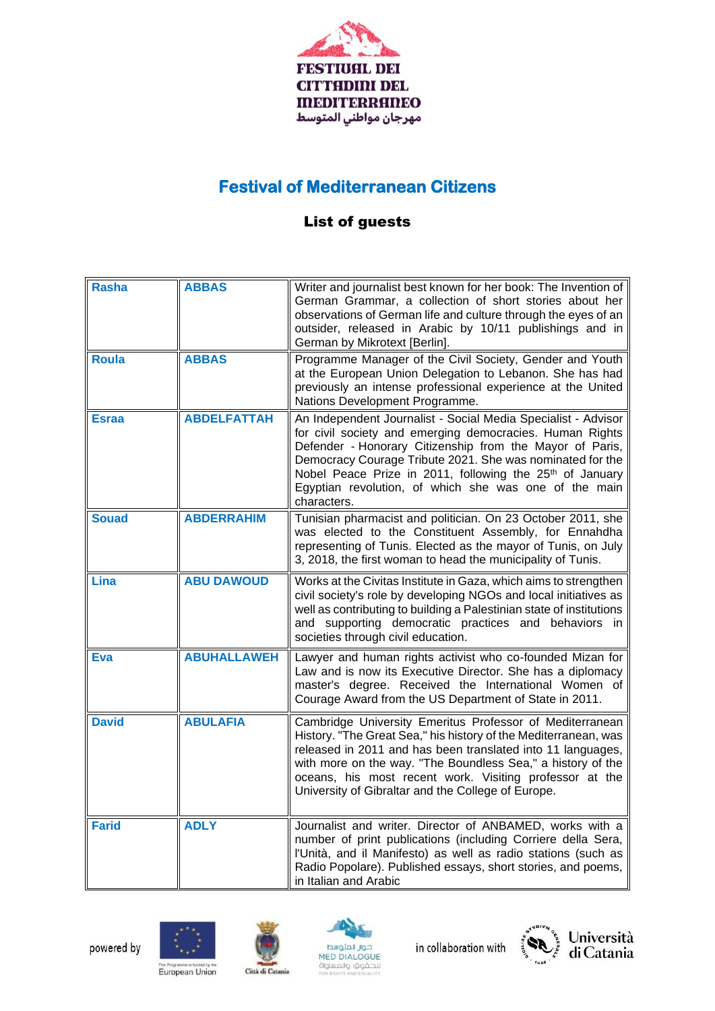

## **Festival of Mediterranean Citizens**

## List of guests

| <b>Rasha</b> | <b>ABBAS</b>       | Writer and journalist best known for her book: The Invention of<br>German Grammar, a collection of short stories about her<br>observations of German life and culture through the eyes of an<br>outsider, released in Arabic by 10/11 publishings and in<br>German by Mikrotext [Berlin].                                                                                                          |
|--------------|--------------------|----------------------------------------------------------------------------------------------------------------------------------------------------------------------------------------------------------------------------------------------------------------------------------------------------------------------------------------------------------------------------------------------------|
| <b>Roula</b> | <b>ABBAS</b>       | Programme Manager of the Civil Society, Gender and Youth<br>at the European Union Delegation to Lebanon. She has had<br>previously an intense professional experience at the United<br>Nations Development Programme.                                                                                                                                                                              |
| <b>Esraa</b> | <b>ABDELFATTAH</b> | An Independent Journalist - Social Media Specialist - Advisor<br>for civil society and emerging democracies. Human Rights<br>Defender - Honorary Citizenship from the Mayor of Paris,<br>Democracy Courage Tribute 2021. She was nominated for the<br>Nobel Peace Prize in 2011, following the 25 <sup>th</sup> of January<br>Egyptian revolution, of which she was one of the main<br>characters. |
| <b>Souad</b> | <b>ABDERRAHIM</b>  | Tunisian pharmacist and politician. On 23 October 2011, she<br>was elected to the Constituent Assembly, for Ennahdha<br>representing of Tunis. Elected as the mayor of Tunis, on July<br>3, 2018, the first woman to head the municipality of Tunis.                                                                                                                                               |
| Lina         | <b>ABU DAWOUD</b>  | Works at the Civitas Institute in Gaza, which aims to strengthen<br>civil society's role by developing NGOs and local initiatives as<br>well as contributing to building a Palestinian state of institutions<br>and supporting democratic practices and behaviors in<br>societies through civil education.                                                                                         |
| Eva          | <b>ABUHALLAWEH</b> | Lawyer and human rights activist who co-founded Mizan for<br>Law and is now its Executive Director. She has a diplomacy<br>master's degree. Received the International Women of<br>Courage Award from the US Department of State in 2011.                                                                                                                                                          |
| <b>David</b> | <b>ABULAFIA</b>    | Cambridge University Emeritus Professor of Mediterranean<br>History. "The Great Sea," his history of the Mediterranean, was<br>released in 2011 and has been translated into 11 languages,<br>with more on the way. "The Boundless Sea," a history of the<br>oceans, his most recent work. Visiting professor at the<br>University of Gibraltar and the College of Europe.                         |
| <b>Farid</b> | <b>ADLY</b>        | Journalist and writer. Director of ANBAMED, works with a<br>number of print publications (including Corriere della Sera,<br>l'Unità, and il Manifesto) as well as radio stations (such as<br>Radio Popolare). Published essays, short stories, and poems,<br>in Italian and Arabic                                                                                                                 |







in collaboration with





This Programme is funded by the<br>European Union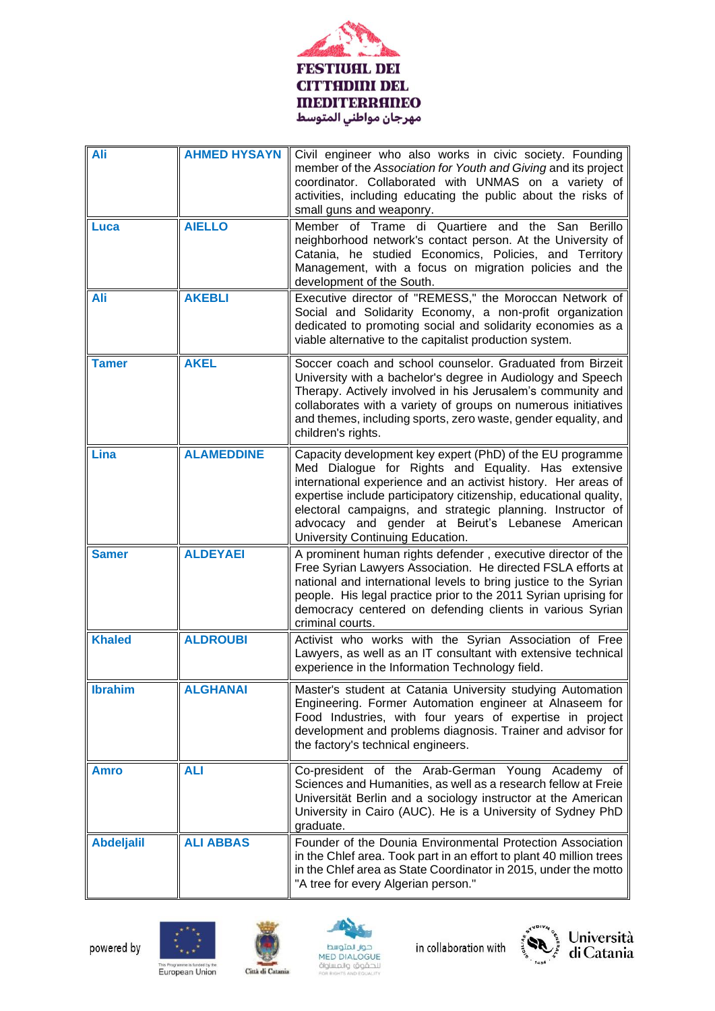

| Ali               | <b>AHMED HYSAYN</b> | Civil engineer who also works in civic society. Founding<br>member of the Association for Youth and Giving and its project<br>coordinator. Collaborated with UNMAS on a variety of<br>activities, including educating the public about the risks of<br>small guns and weaponry.                                                                                                                                |
|-------------------|---------------------|----------------------------------------------------------------------------------------------------------------------------------------------------------------------------------------------------------------------------------------------------------------------------------------------------------------------------------------------------------------------------------------------------------------|
| <b>Luca</b>       | <b>AIELLO</b>       | Member of Trame di Quartiere and the San Berillo<br>neighborhood network's contact person. At the University of<br>Catania, he studied Economics, Policies, and Territory<br>Management, with a focus on migration policies and the<br>development of the South.                                                                                                                                               |
| Ali               | <b>AKEBLI</b>       | Executive director of "REMESS," the Moroccan Network of<br>Social and Solidarity Economy, a non-profit organization<br>dedicated to promoting social and solidarity economies as a<br>viable alternative to the capitalist production system.                                                                                                                                                                  |
| <b>Tamer</b>      | <b>AKEL</b>         | Soccer coach and school counselor. Graduated from Birzeit<br>University with a bachelor's degree in Audiology and Speech<br>Therapy. Actively involved in his Jerusalem's community and<br>collaborates with a variety of groups on numerous initiatives<br>and themes, including sports, zero waste, gender equality, and<br>children's rights.                                                               |
| Lina              | <b>ALAMEDDINE</b>   | Capacity development key expert (PhD) of the EU programme<br>Med Dialogue for Rights and Equality. Has extensive<br>international experience and an activist history. Her areas of<br>expertise include participatory citizenship, educational quality,<br>electoral campaigns, and strategic planning. Instructor of<br>advocacy and gender at Beirut's Lebanese American<br>University Continuing Education. |
| <b>Samer</b>      | <b>ALDEYAEI</b>     | A prominent human rights defender, executive director of the<br>Free Syrian Lawyers Association. He directed FSLA efforts at<br>national and international levels to bring justice to the Syrian<br>people. His legal practice prior to the 2011 Syrian uprising for<br>democracy centered on defending clients in various Syrian<br>criminal courts.                                                          |
| <b>Khaled</b>     | <b>ALDROUBI</b>     | Activist who works with the Syrian Association of Free<br>Lawyers, as well as an IT consultant with extensive technical<br>experience in the Information Technology field.                                                                                                                                                                                                                                     |
| <b>Ibrahim</b>    | <b>ALGHANAI</b>     | Master's student at Catania University studying Automation<br>Engineering. Former Automation engineer at Alnaseem for<br>Food Industries, with four years of expertise in project<br>development and problems diagnosis. Trainer and advisor for<br>the factory's technical engineers.                                                                                                                         |
| Amro              | <b>ALI</b>          | Co-president of the Arab-German Young Academy of<br>Sciences and Humanities, as well as a research fellow at Freie<br>Universität Berlin and a sociology instructor at the American<br>University in Cairo (AUC). He is a University of Sydney PhD<br>graduate.                                                                                                                                                |
| <b>Abdeljalil</b> | <b>ALI ABBAS</b>    | Founder of the Dounia Environmental Protection Association<br>in the Chlef area. Took part in an effort to plant 40 million trees<br>in the Chlef area as State Coordinator in 2015, under the motto<br>"A tree for every Algerian person."                                                                                                                                                                    |











This Programme is funded by the<br>European Union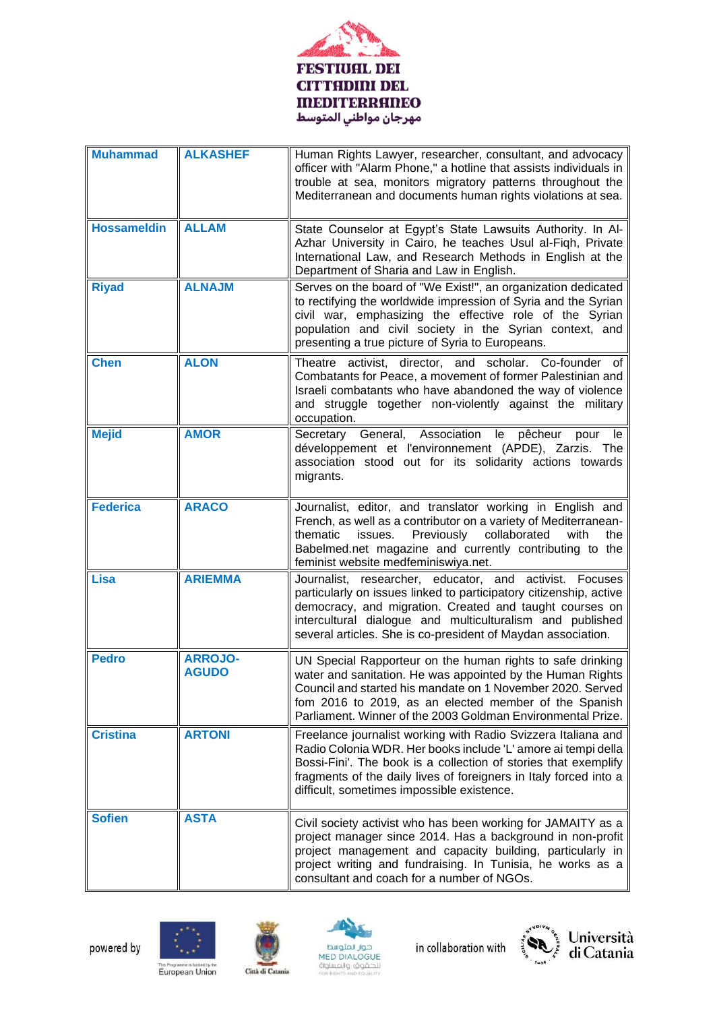

| <b>Muhammad</b>    | <b>ALKASHEF</b>                | Human Rights Lawyer, researcher, consultant, and advocacy<br>officer with "Alarm Phone," a hotline that assists individuals in<br>trouble at sea, monitors migratory patterns throughout the<br>Mediterranean and documents human rights violations at sea.                                                           |
|--------------------|--------------------------------|-----------------------------------------------------------------------------------------------------------------------------------------------------------------------------------------------------------------------------------------------------------------------------------------------------------------------|
| <b>Hossameldin</b> | <b>ALLAM</b>                   | State Counselor at Egypt's State Lawsuits Authority. In Al-<br>Azhar University in Cairo, he teaches Usul al-Fiqh, Private<br>International Law, and Research Methods in English at the<br>Department of Sharia and Law in English.                                                                                   |
| <b>Riyad</b>       | <b>ALNAJM</b>                  | Serves on the board of "We Exist!", an organization dedicated<br>to rectifying the worldwide impression of Syria and the Syrian<br>civil war, emphasizing the effective role of the Syrian<br>population and civil society in the Syrian context, and<br>presenting a true picture of Syria to Europeans.             |
| <b>Chen</b>        | <b>ALON</b>                    | director, and scholar. Co-founder of<br>activist,<br>Theatre<br>Combatants for Peace, a movement of former Palestinian and<br>Israeli combatants who have abandoned the way of violence<br>and struggle together non-violently against the military<br>occupation.                                                    |
| <b>Mejid</b>       | <b>AMOR</b>                    | General, Association<br>pêcheur<br>Secretary<br>le<br>pour<br>le<br>développement et l'environnement (APDE), Zarzis. The<br>association stood out for its solidarity actions towards<br>migrants.                                                                                                                     |
| <b>Federica</b>    | <b>ARACO</b>                   | Journalist, editor, and translator working in English and<br>French, as well as a contributor on a variety of Mediterranean-<br>thematic<br>Previously<br>collaborated<br>issues.<br>with<br>the<br>Babelmed.net magazine and currently contributing to the<br>feminist website medfeminiswiya.net.                   |
| <b>Lisa</b>        | <b>ARIEMMA</b>                 | Journalist, researcher, educator, and activist. Focuses<br>particularly on issues linked to participatory citizenship, active<br>democracy, and migration. Created and taught courses on<br>intercultural dialogue and multiculturalism and published<br>several articles. She is co-president of Maydan association. |
| <b>Pedro</b>       | <b>ARROJO-</b><br><b>AGUDO</b> | UN Special Rapporteur on the human rights to safe drinking<br>water and sanitation. He was appointed by the Human Rights<br>Council and started his mandate on 1 November 2020. Served<br>fom 2016 to 2019, as an elected member of the Spanish<br>Parliament. Winner of the 2003 Goldman Environmental Prize.        |
| <b>Cristina</b>    | <b>ARTONI</b>                  | Freelance journalist working with Radio Svizzera Italiana and<br>Radio Colonia WDR. Her books include 'L' amore ai tempi della<br>Bossi-Fini'. The book is a collection of stories that exemplify<br>fragments of the daily lives of foreigners in Italy forced into a<br>difficult, sometimes impossible existence.  |
| <b>Sofien</b>      | <b>ASTA</b>                    | Civil society activist who has been working for JAMAITY as a<br>project manager since 2014. Has a background in non-profit<br>project management and capacity building, particularly in<br>project writing and fundraising. In Tunisia, he works as a<br>consultant and coach for a number of NGOs.                   |











This Programme is funded by the<br>European Union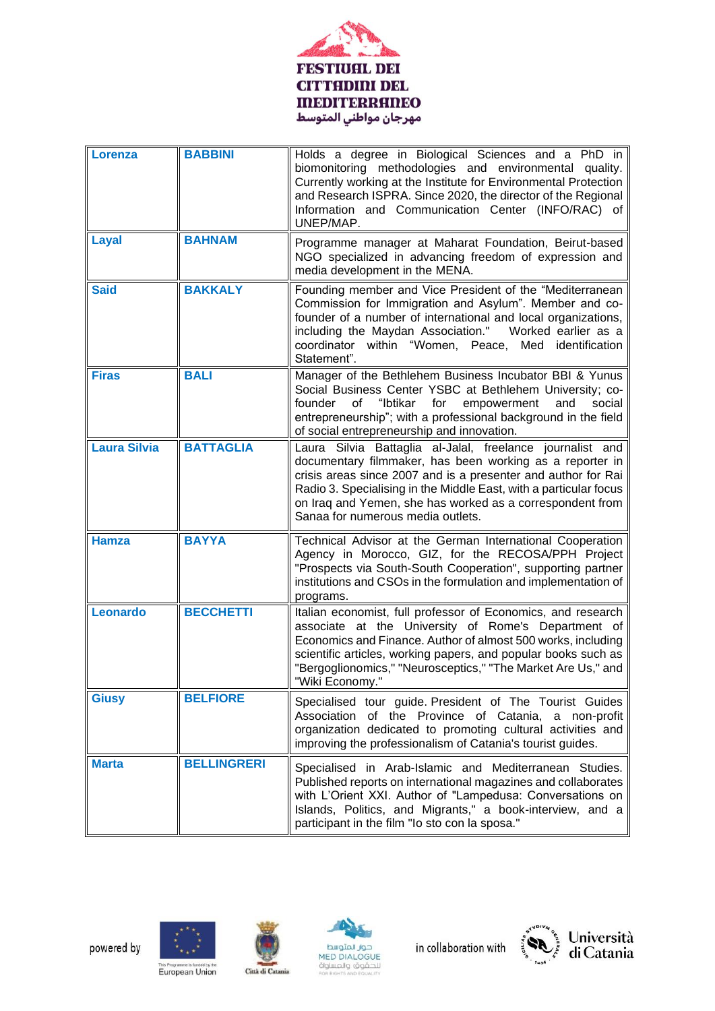

| Lorenza             | <b>BABBINI</b>     | Holds a degree in Biological Sciences and a PhD in<br>biomonitoring methodologies and environmental quality.<br>Currently working at the Institute for Environmental Protection<br>and Research ISPRA. Since 2020, the director of the Regional<br>Information and Communication Center (INFO/RAC) of<br>UNEP/MAP.                                            |
|---------------------|--------------------|---------------------------------------------------------------------------------------------------------------------------------------------------------------------------------------------------------------------------------------------------------------------------------------------------------------------------------------------------------------|
| Layal               | <b>BAHNAM</b>      | Programme manager at Maharat Foundation, Beirut-based<br>NGO specialized in advancing freedom of expression and<br>media development in the MENA.                                                                                                                                                                                                             |
| <b>Said</b>         | <b>BAKKALY</b>     | Founding member and Vice President of the "Mediterranean<br>Commission for Immigration and Asylum". Member and co-<br>founder of a number of international and local organizations,<br>including the Maydan Association."<br>Worked earlier as a<br>coordinator within "Women, Peace,<br>Med identification<br>Statement".                                    |
| <b>Firas</b>        | <b>BALI</b>        | Manager of the Bethlehem Business Incubator BBI & Yunus<br>Social Business Center YSBC at Bethlehem University; co-<br>founder<br>οf<br>"Ibtikar<br>for<br>empowerment<br>and<br>social<br>entrepreneurship"; with a professional background in the field<br>of social entrepreneurship and innovation.                                                       |
| <b>Laura Silvia</b> | <b>BATTAGLIA</b>   | Laura Silvia Battaglia al-Jalal, freelance journalist and<br>documentary filmmaker, has been working as a reporter in<br>crisis areas since 2007 and is a presenter and author for Rai<br>Radio 3. Specialising in the Middle East, with a particular focus<br>on Iraq and Yemen, she has worked as a correspondent from<br>Sanaa for numerous media outlets. |
| <b>Hamza</b>        | <b>BAYYA</b>       | Technical Advisor at the German International Cooperation<br>Agency in Morocco, GIZ, for the RECOSA/PPH Project<br>"Prospects via South-South Cooperation", supporting partner<br>institutions and CSOs in the formulation and implementation of<br>programs.                                                                                                 |
| Leonardo            | <b>BECCHETTI</b>   | Italian economist, full professor of Economics, and research<br>associate at the University of Rome's Department of<br>Economics and Finance. Author of almost 500 works, including<br>scientific articles, working papers, and popular books such as<br>"Bergoglionomics," "Neurosceptics," "The Market Are Us," and<br>"Wiki Economy."                      |
| <b>Giusy</b>        | <b>BELFIORE</b>    | Specialised tour guide. President of The Tourist Guides<br>Association of the Province of Catania, a non-profit<br>organization dedicated to promoting cultural activities and<br>improving the professionalism of Catania's tourist guides.                                                                                                                  |
| <b>Marta</b>        | <b>BELLINGRERI</b> | Specialised in Arab-Islamic and Mediterranean Studies.<br>Published reports on international magazines and collaborates<br>with L'Orient XXI. Author of "Lampedusa: Conversations on<br>Islands, Politics, and Migrants," a book-interview, and a<br>participant in the film "Io sto con la sposa."                                                           |









This Programme is funded by the<br>European Union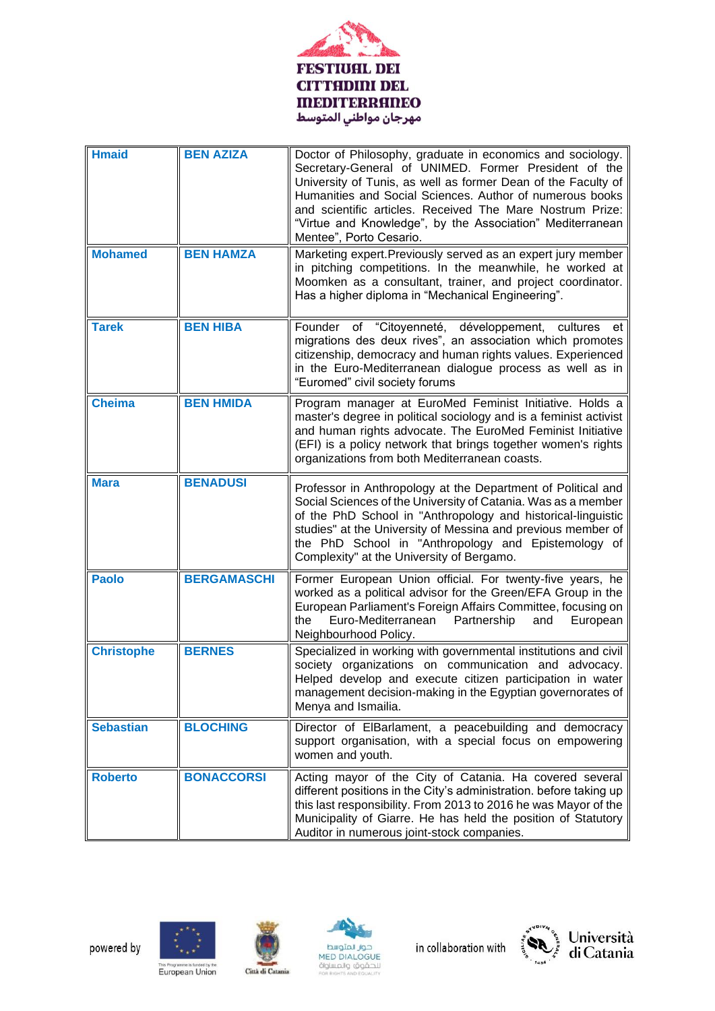

| <b>Hmaid</b>      | <b>BEN AZIZA</b>   | Doctor of Philosophy, graduate in economics and sociology.<br>Secretary-General of UNIMED. Former President of the<br>University of Tunis, as well as former Dean of the Faculty of<br>Humanities and Social Sciences. Author of numerous books<br>and scientific articles. Received The Mare Nostrum Prize:<br>"Virtue and Knowledge", by the Association" Mediterranean<br>Mentee", Porto Cesario. |
|-------------------|--------------------|------------------------------------------------------------------------------------------------------------------------------------------------------------------------------------------------------------------------------------------------------------------------------------------------------------------------------------------------------------------------------------------------------|
| <b>Mohamed</b>    | <b>BEN HAMZA</b>   | Marketing expert. Previously served as an expert jury member<br>in pitching competitions. In the meanwhile, he worked at<br>Moomken as a consultant, trainer, and project coordinator.<br>Has a higher diploma in "Mechanical Engineering".                                                                                                                                                          |
| <b>Tarek</b>      | <b>BEN HIBA</b>    | Founder of "Citoyenneté, développement, cultures<br>et<br>migrations des deux rives", an association which promotes<br>citizenship, democracy and human rights values. Experienced<br>in the Euro-Mediterranean dialogue process as well as in<br>"Euromed" civil society forums                                                                                                                     |
| <b>Cheima</b>     | <b>BEN HMIDA</b>   | Program manager at EuroMed Feminist Initiative. Holds a<br>master's degree in political sociology and is a feminist activist<br>and human rights advocate. The EuroMed Feminist Initiative<br>(EFI) is a policy network that brings together women's rights<br>organizations from both Mediterranean coasts.                                                                                         |
| <b>Mara</b>       | <b>BENADUSI</b>    | Professor in Anthropology at the Department of Political and<br>Social Sciences of the University of Catania. Was as a member<br>of the PhD School in "Anthropology and historical-linguistic<br>studies" at the University of Messina and previous member of<br>the PhD School in "Anthropology and Epistemology of<br>Complexity" at the University of Bergamo.                                    |
| <b>Paolo</b>      | <b>BERGAMASCHI</b> | Former European Union official. For twenty-five years, he<br>worked as a political advisor for the Green/EFA Group in the<br>European Parliament's Foreign Affairs Committee, focusing on<br>Euro-Mediterranean<br>Partnership<br>European<br>the<br>and<br>Neighbourhood Policy.                                                                                                                    |
| <b>Christophe</b> | <b>BERNES</b>      | Specialized in working with governmental institutions and civil<br>society organizations on communication and advocacy.<br>Helped develop and execute citizen participation in water<br>management decision-making in the Egyptian governorates of<br>Menya and Ismailia.                                                                                                                            |
| <b>Sebastian</b>  | <b>BLOCHING</b>    | Director of ElBarlament, a peacebuilding and democracy<br>support organisation, with a special focus on empowering<br>women and youth.                                                                                                                                                                                                                                                               |
| <b>Roberto</b>    | <b>BONACCORSI</b>  | Acting mayor of the City of Catania. Ha covered several<br>different positions in the City's administration. before taking up<br>this last responsibility. From 2013 to 2016 he was Mayor of the<br>Municipality of Giarre. He has held the position of Statutory<br>Auditor in numerous joint-stock companies.                                                                                      |









This Programme is funded by the<br>European Union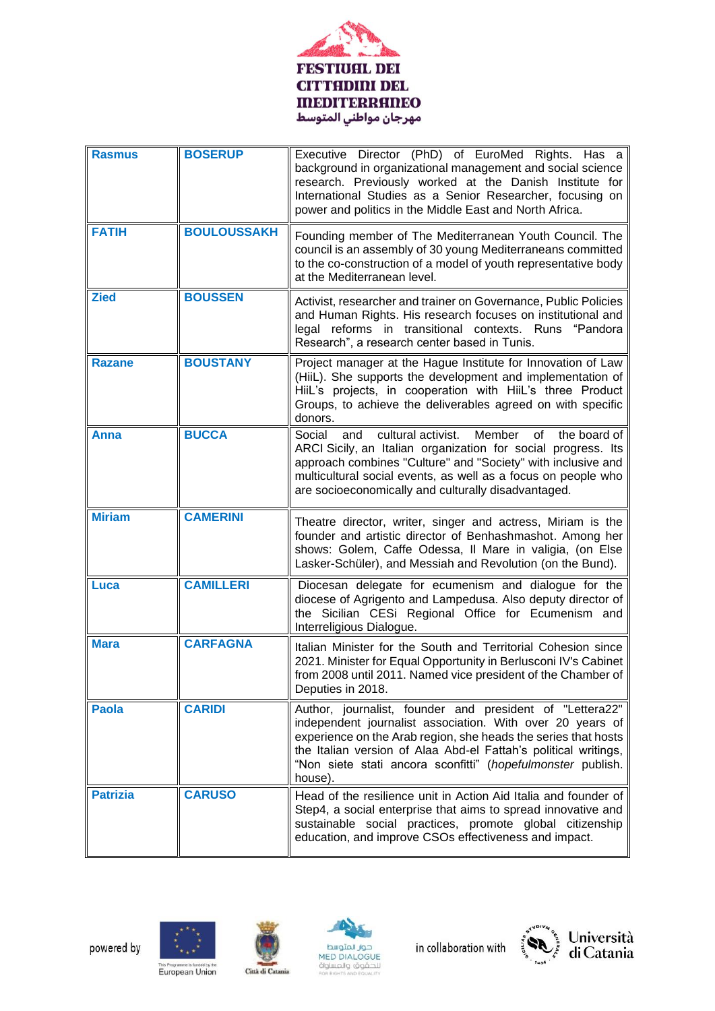

| <b>Rasmus</b>   | <b>BOSERUP</b>     | Executive Director (PhD) of EuroMed Rights. Has a<br>background in organizational management and social science<br>research. Previously worked at the Danish Institute for<br>International Studies as a Senior Researcher, focusing on<br>power and politics in the Middle East and North Africa.                                   |
|-----------------|--------------------|--------------------------------------------------------------------------------------------------------------------------------------------------------------------------------------------------------------------------------------------------------------------------------------------------------------------------------------|
| <b>FATIH</b>    | <b>BOULOUSSAKH</b> | Founding member of The Mediterranean Youth Council. The<br>council is an assembly of 30 young Mediterraneans committed<br>to the co-construction of a model of youth representative body<br>at the Mediterranean level.                                                                                                              |
| <b>Zied</b>     | <b>BOUSSEN</b>     | Activist, researcher and trainer on Governance, Public Policies<br>and Human Rights. His research focuses on institutional and<br>legal reforms in transitional contexts. Runs "Pandora<br>Research", a research center based in Tunis.                                                                                              |
| <b>Razane</b>   | <b>BOUSTANY</b>    | Project manager at the Hague Institute for Innovation of Law<br>(HiiL). She supports the development and implementation of<br>HiiL's projects, in cooperation with HiiL's three Product<br>Groups, to achieve the deliverables agreed on with specific<br>donors.                                                                    |
| Anna            | <b>BUCCA</b>       | cultural activist.<br>Member<br>the board of<br>Social<br>and<br>of<br>ARCI Sicily, an Italian organization for social progress. Its<br>approach combines "Culture" and "Society" with inclusive and<br>multicultural social events, as well as a focus on people who<br>are socioeconomically and culturally disadvantaged.         |
| <b>Miriam</b>   | <b>CAMERINI</b>    | Theatre director, writer, singer and actress, Miriam is the<br>founder and artistic director of Benhashmashot. Among her<br>shows: Golem, Caffe Odessa, Il Mare in valigia, (on Else<br>Lasker-Schüler), and Messiah and Revolution (on the Bund).                                                                                   |
| Luca            | <b>CAMILLERI</b>   | Diocesan delegate for ecumenism and dialogue for the<br>diocese of Agrigento and Lampedusa. Also deputy director of<br>the Sicilian CESi Regional Office for Ecumenism and<br>Interreligious Dialogue.                                                                                                                               |
| <b>Mara</b>     | <b>CARFAGNA</b>    | Italian Minister for the South and Territorial Cohesion since<br>2021. Minister for Equal Opportunity in Berlusconi IV's Cabinet<br>from 2008 until 2011. Named vice president of the Chamber of<br>Deputies in 2018.                                                                                                                |
| <b>Paola</b>    | <b>CARIDI</b>      | Author, journalist, founder and president of "Lettera22"<br>independent journalist association. With over 20 years of<br>experience on the Arab region, she heads the series that hosts<br>the Italian version of Alaa Abd-el Fattah's political writings,<br>"Non siete stati ancora sconfitti" (hopefulmonster publish.<br>house). |
| <b>Patrizia</b> | <b>CARUSO</b>      | Head of the resilience unit in Action Aid Italia and founder of<br>Step4, a social enterprise that aims to spread innovative and<br>sustainable social practices, promote global citizenship<br>education, and improve CSOs effectiveness and impact.                                                                                |









This Programme is funded by the<br>European Union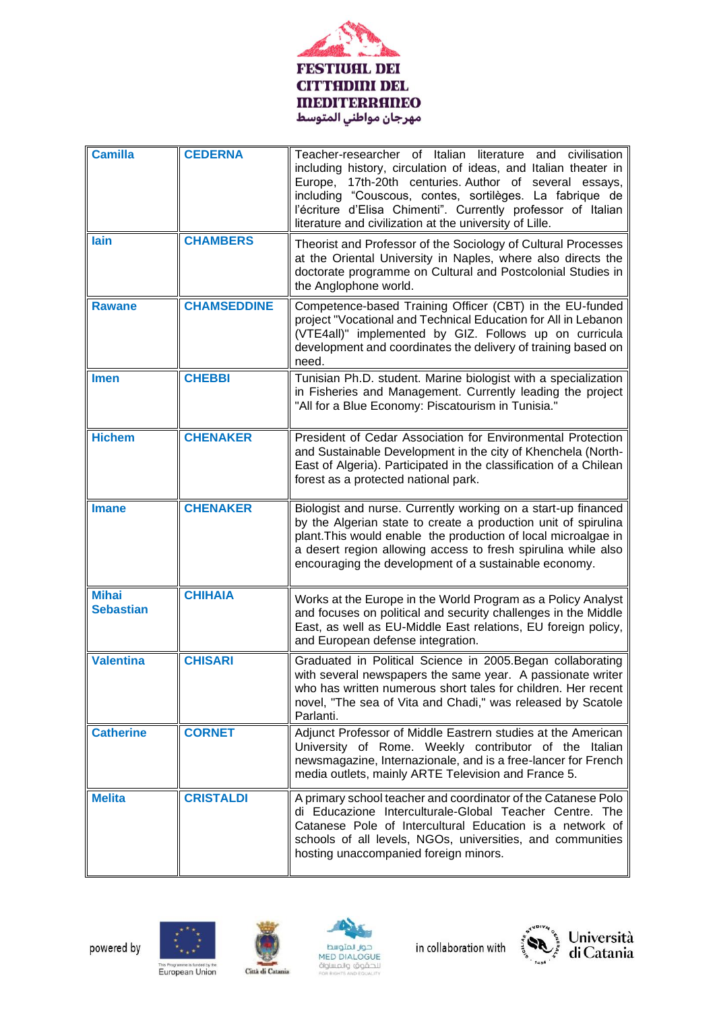

| <b>Camilla</b>                   | <b>CEDERNA</b>     | Teacher-researcher of Italian literature and civilisation<br>including history, circulation of ideas, and Italian theater in<br>17th-20th centuries. Author of several essays,<br>Europe,<br>including "Couscous, contes, sortilèges. La fabrique de<br>l'écriture d'Elisa Chimenti". Currently professor of Italian<br>literature and civilization at the university of Lille. |
|----------------------------------|--------------------|---------------------------------------------------------------------------------------------------------------------------------------------------------------------------------------------------------------------------------------------------------------------------------------------------------------------------------------------------------------------------------|
| lain                             | <b>CHAMBERS</b>    | Theorist and Professor of the Sociology of Cultural Processes<br>at the Oriental University in Naples, where also directs the<br>doctorate programme on Cultural and Postcolonial Studies in<br>the Anglophone world.                                                                                                                                                           |
| <b>Rawane</b>                    | <b>CHAMSEDDINE</b> | Competence-based Training Officer (CBT) in the EU-funded<br>project "Vocational and Technical Education for All in Lebanon<br>(VTE4all)" implemented by GIZ. Follows up on curricula<br>development and coordinates the delivery of training based on<br>need.                                                                                                                  |
| <b>Imen</b>                      | <b>CHEBBI</b>      | Tunisian Ph.D. student. Marine biologist with a specialization<br>in Fisheries and Management. Currently leading the project<br>"All for a Blue Economy: Piscatourism in Tunisia."                                                                                                                                                                                              |
| <b>Hichem</b>                    | <b>CHENAKER</b>    | President of Cedar Association for Environmental Protection<br>and Sustainable Development in the city of Khenchela (North-<br>East of Algeria). Participated in the classification of a Chilean<br>forest as a protected national park.                                                                                                                                        |
| <b>Imane</b>                     | <b>CHENAKER</b>    | Biologist and nurse. Currently working on a start-up financed<br>by the Algerian state to create a production unit of spirulina<br>plant. This would enable the production of local microalgae in<br>a desert region allowing access to fresh spirulina while also<br>encouraging the development of a sustainable economy.                                                     |
| <b>Mihai</b><br><b>Sebastian</b> | <b>CHIHAIA</b>     | Works at the Europe in the World Program as a Policy Analyst<br>and focuses on political and security challenges in the Middle<br>East, as well as EU-Middle East relations, EU foreign policy,<br>and European defense integration.                                                                                                                                            |
| <b>Valentina</b>                 | <b>CHISARI</b>     | Graduated in Political Science in 2005. Began collaborating<br>with several newspapers the same year. A passionate writer<br>who has written numerous short tales for children. Her recent<br>novel, "The sea of Vita and Chadi," was released by Scatole<br>Parlanti.                                                                                                          |
| <b>Catherine</b>                 | <b>CORNET</b>      | Adjunct Professor of Middle Eastrern studies at the American<br>University of Rome. Weekly contributor of the Italian<br>newsmagazine, Internazionale, and is a free-lancer for French<br>media outlets, mainly ARTE Television and France 5.                                                                                                                                   |
| <b>Melita</b>                    | <b>CRISTALDI</b>   | A primary school teacher and coordinator of the Catanese Polo<br>di Educazione Interculturale-Global Teacher Centre. The<br>Catanese Pole of Intercultural Education is a network of<br>schools of all levels, NGOs, universities, and communities<br>hosting unaccompanied foreign minors.                                                                                     |











This Programme is funded by the<br>European Union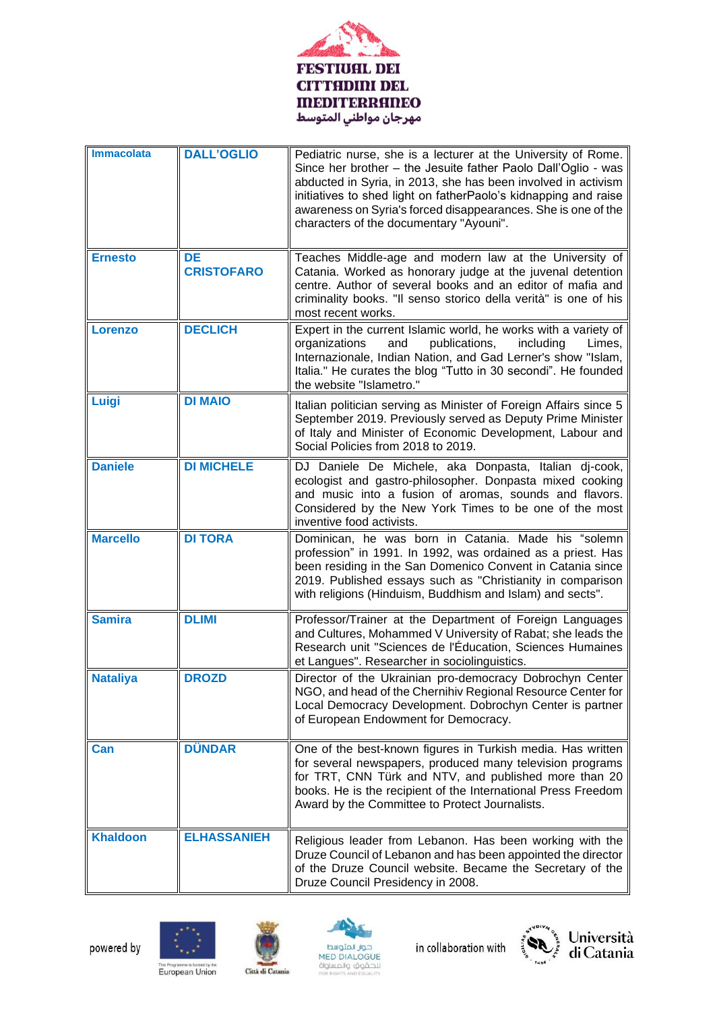

| <b>Immacolata</b> | <b>DALL'OGLIO</b>              | Pediatric nurse, she is a lecturer at the University of Rome.<br>Since her brother - the Jesuite father Paolo Dall'Oglio - was<br>abducted in Syria, in 2013, she has been involved in activism<br>initiatives to shed light on fatherPaolo's kidnapping and raise<br>awareness on Syria's forced disappearances. She is one of the<br>characters of the documentary "Ayouni". |
|-------------------|--------------------------------|--------------------------------------------------------------------------------------------------------------------------------------------------------------------------------------------------------------------------------------------------------------------------------------------------------------------------------------------------------------------------------|
| <b>Ernesto</b>    | <b>DE</b><br><b>CRISTOFARO</b> | Teaches Middle-age and modern law at the University of<br>Catania. Worked as honorary judge at the juvenal detention<br>centre. Author of several books and an editor of mafia and<br>criminality books. "Il senso storico della verità" is one of his<br>most recent works.                                                                                                   |
| Lorenzo           | <b>DECLICH</b>                 | Expert in the current Islamic world, he works with a variety of<br>publications,<br>organizations<br>and<br>including<br>Limes,<br>Internazionale, Indian Nation, and Gad Lerner's show "Islam,<br>Italia." He curates the blog "Tutto in 30 secondi". He founded<br>the website "Islametro."                                                                                  |
| Luigi             | <b>DI MAIO</b>                 | Italian politician serving as Minister of Foreign Affairs since 5<br>September 2019. Previously served as Deputy Prime Minister<br>of Italy and Minister of Economic Development, Labour and<br>Social Policies from 2018 to 2019.                                                                                                                                             |
| <b>Daniele</b>    | <b>DI MICHELE</b>              | DJ Daniele De Michele, aka Donpasta, Italian dj-cook,<br>ecologist and gastro-philosopher. Donpasta mixed cooking<br>and music into a fusion of aromas, sounds and flavors.<br>Considered by the New York Times to be one of the most<br>inventive food activists.                                                                                                             |
| <b>Marcello</b>   | <b>DI TORA</b>                 | Dominican, he was born in Catania. Made his "solemn<br>profession" in 1991. In 1992, was ordained as a priest. Has<br>been residing in the San Domenico Convent in Catania since<br>2019. Published essays such as "Christianity in comparison<br>with religions (Hinduism, Buddhism and Islam) and sects".                                                                    |
| <b>Samira</b>     | <b>DLIMI</b>                   | Professor/Trainer at the Department of Foreign Languages<br>and Cultures, Mohammed V University of Rabat; she leads the<br>Research unit "Sciences de l'Éducation, Sciences Humaines<br>et Langues". Researcher in sociolinguistics.                                                                                                                                           |
| <b>Nataliya</b>   | <b>DROZD</b>                   | Director of the Ukrainian pro-democracy Dobrochyn Center<br>NGO, and head of the Chernihiv Regional Resource Center for<br>Local Democracy Development. Dobrochyn Center is partner<br>of European Endowment for Democracy.                                                                                                                                                    |
| Can               | <b>DÜNDAR</b>                  | One of the best-known figures in Turkish media. Has written<br>for several newspapers, produced many television programs<br>for TRT, CNN Türk and NTV, and published more than 20<br>books. He is the recipient of the International Press Freedom<br>Award by the Committee to Protect Journalists.                                                                           |
| <b>Khaldoon</b>   | <b>ELHASSANIEH</b>             | Religious leader from Lebanon. Has been working with the<br>Druze Council of Lebanon and has been appointed the director<br>of the Druze Council website. Became the Secretary of the<br>Druze Council Presidency in 2008.                                                                                                                                                     |











This Programme is funded by the<br>European Union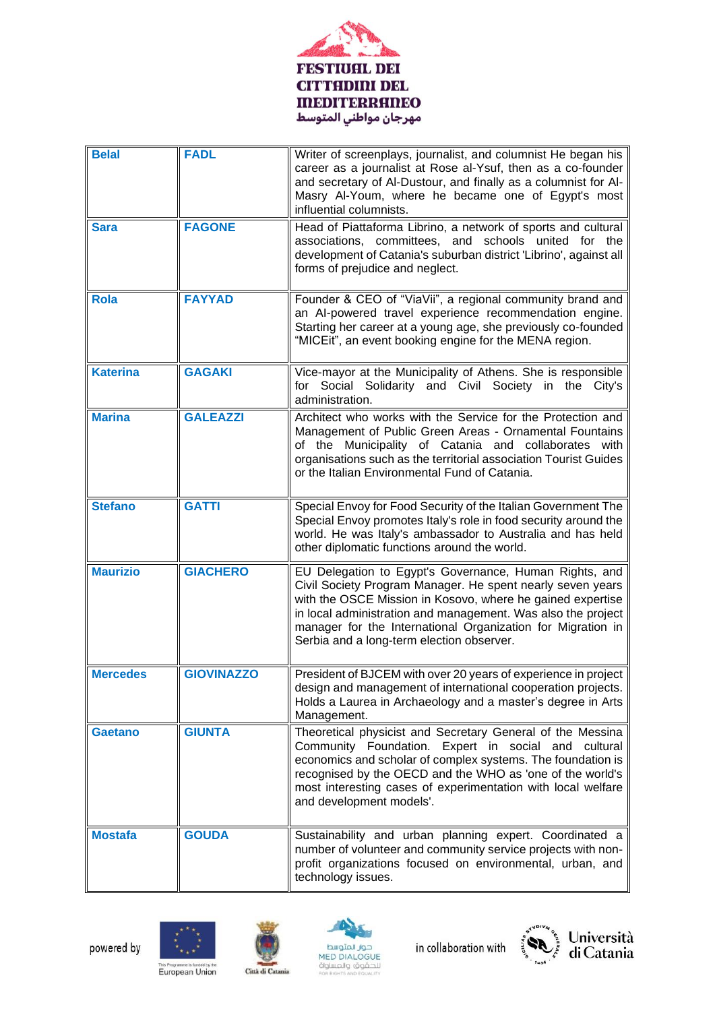

| <b>Belal</b>    | <b>FADL</b>       | Writer of screenplays, journalist, and columnist He began his<br>career as a journalist at Rose al-Ysuf, then as a co-founder<br>and secretary of Al-Dustour, and finally as a columnist for Al-<br>Masry Al-Youm, where he became one of Egypt's most<br>influential columnists.                                                                              |
|-----------------|-------------------|----------------------------------------------------------------------------------------------------------------------------------------------------------------------------------------------------------------------------------------------------------------------------------------------------------------------------------------------------------------|
| <b>Sara</b>     | <b>FAGONE</b>     | Head of Piattaforma Librino, a network of sports and cultural<br>associations, committees, and schools united for the<br>development of Catania's suburban district 'Librino', against all<br>forms of prejudice and neglect.                                                                                                                                  |
| <b>Rola</b>     | <b>FAYYAD</b>     | Founder & CEO of "ViaVii", a regional community brand and<br>an AI-powered travel experience recommendation engine.<br>Starting her career at a young age, she previously co-founded<br>"MICEit", an event booking engine for the MENA region.                                                                                                                 |
| <b>Katerina</b> | <b>GAGAKI</b>     | Vice-mayor at the Municipality of Athens. She is responsible<br>for Social Solidarity and Civil Society in the City's<br>administration.                                                                                                                                                                                                                       |
| <b>Marina</b>   | <b>GALEAZZI</b>   | Architect who works with the Service for the Protection and<br>Management of Public Green Areas - Ornamental Fountains<br>of the Municipality of Catania and collaborates with<br>organisations such as the territorial association Tourist Guides<br>or the Italian Environmental Fund of Catania.                                                            |
| <b>Stefano</b>  | <b>GATTI</b>      | Special Envoy for Food Security of the Italian Government The<br>Special Envoy promotes Italy's role in food security around the<br>world. He was Italy's ambassador to Australia and has held<br>other diplomatic functions around the world.                                                                                                                 |
| <b>Maurizio</b> | <b>GIACHERO</b>   | EU Delegation to Egypt's Governance, Human Rights, and<br>Civil Society Program Manager. He spent nearly seven years<br>with the OSCE Mission in Kosovo, where he gained expertise<br>in local administration and management. Was also the project<br>manager for the International Organization for Migration in<br>Serbia and a long-term election observer. |
| <b>Mercedes</b> | <b>GIOVINAZZO</b> | President of BJCEM with over 20 years of experience in project  <br>design and management of international cooperation projects.<br>Holds a Laurea in Archaeology and a master's degree in Arts<br>Management.                                                                                                                                                 |
| <b>Gaetano</b>  | <b>GIUNTA</b>     | Theoretical physicist and Secretary General of the Messina<br>Community Foundation. Expert in social and cultural<br>economics and scholar of complex systems. The foundation is<br>recognised by the OECD and the WHO as 'one of the world's<br>most interesting cases of experimentation with local welfare<br>and development models'.                      |
| <b>Mostafa</b>  | <b>GOUDA</b>      | Sustainability and urban planning expert. Coordinated a<br>number of volunteer and community service projects with non-<br>profit organizations focused on environmental, urban, and<br>technology issues.                                                                                                                                                     |











This Programme is funded by the<br>European Union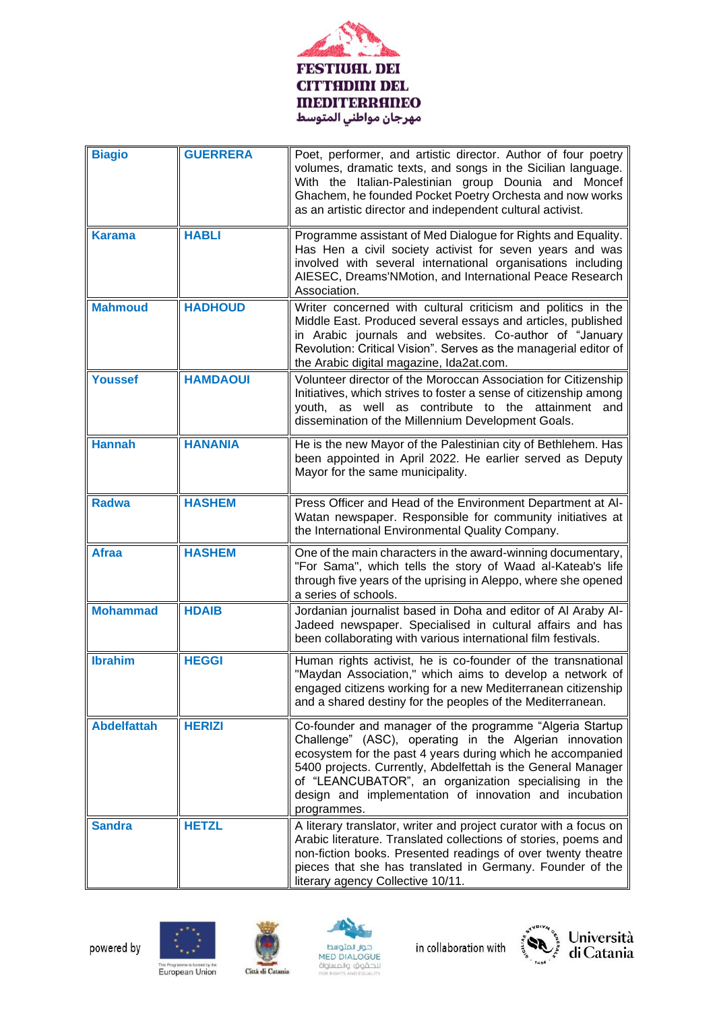

| <b>Biagio</b>      | <b>GUERRERA</b> | Poet, performer, and artistic director. Author of four poetry<br>volumes, dramatic texts, and songs in the Sicilian language.<br>With the Italian-Palestinian group Dounia and Moncef<br>Ghachem, he founded Pocket Poetry Orchesta and now works<br>as an artistic director and independent cultural activist.                                                                    |
|--------------------|-----------------|------------------------------------------------------------------------------------------------------------------------------------------------------------------------------------------------------------------------------------------------------------------------------------------------------------------------------------------------------------------------------------|
| <b>Karama</b>      | <b>HABLI</b>    | Programme assistant of Med Dialogue for Rights and Equality.<br>Has Hen a civil society activist for seven years and was<br>involved with several international organisations including<br>AIESEC, Dreams'NMotion, and International Peace Research<br>Association.                                                                                                                |
| <b>Mahmoud</b>     | <b>HADHOUD</b>  | Writer concerned with cultural criticism and politics in the<br>Middle East. Produced several essays and articles, published<br>in Arabic journals and websites. Co-author of "January<br>Revolution: Critical Vision". Serves as the managerial editor of<br>the Arabic digital magazine, Ida2at.com.                                                                             |
| <b>Youssef</b>     | <b>HAMDAOUI</b> | Volunteer director of the Moroccan Association for Citizenship<br>Initiatives, which strives to foster a sense of citizenship among<br>youth, as well as contribute to the attainment and<br>dissemination of the Millennium Development Goals.                                                                                                                                    |
| <b>Hannah</b>      | <b>HANANIA</b>  | He is the new Mayor of the Palestinian city of Bethlehem. Has<br>been appointed in April 2022. He earlier served as Deputy<br>Mayor for the same municipality.                                                                                                                                                                                                                     |
| <b>Radwa</b>       | <b>HASHEM</b>   | Press Officer and Head of the Environment Department at Al-<br>Watan newspaper. Responsible for community initiatives at<br>the International Environmental Quality Company.                                                                                                                                                                                                       |
| <b>Afraa</b>       | <b>HASHEM</b>   | One of the main characters in the award-winning documentary,<br>"For Sama", which tells the story of Waad al-Kateab's life<br>through five years of the uprising in Aleppo, where she opened<br>a series of schools.                                                                                                                                                               |
| <b>Mohammad</b>    | <b>HDAIB</b>    | Jordanian journalist based in Doha and editor of Al Araby Al-<br>Jadeed newspaper. Specialised in cultural affairs and has<br>been collaborating with various international film festivals.                                                                                                                                                                                        |
| <b>Ibrahim</b>     | <b>HEGGI</b>    | Human rights activist, he is co-founder of the transnational<br>"Maydan Association," which aims to develop a network of<br>engaged citizens working for a new Mediterranean citizenship<br>and a shared destiny for the peoples of the Mediterranean.                                                                                                                             |
| <b>Abdelfattah</b> | <b>HERIZI</b>   | Co-founder and manager of the programme "Algeria Startup<br>Challenge" (ASC), operating in the Algerian innovation<br>ecosystem for the past 4 years during which he accompanied<br>5400 projects. Currently, Abdelfettah is the General Manager<br>of "LEANCUBATOR", an organization specialising in the<br>design and implementation of innovation and incubation<br>programmes. |
| <b>Sandra</b>      | <b>HETZL</b>    | A literary translator, writer and project curator with a focus on<br>Arabic literature. Translated collections of stories, poems and<br>non-fiction books. Presented readings of over twenty theatre<br>pieces that she has translated in Germany. Founder of the<br>literary agency Collective 10/11.                                                                             |











This Programme is funded by the<br>European Union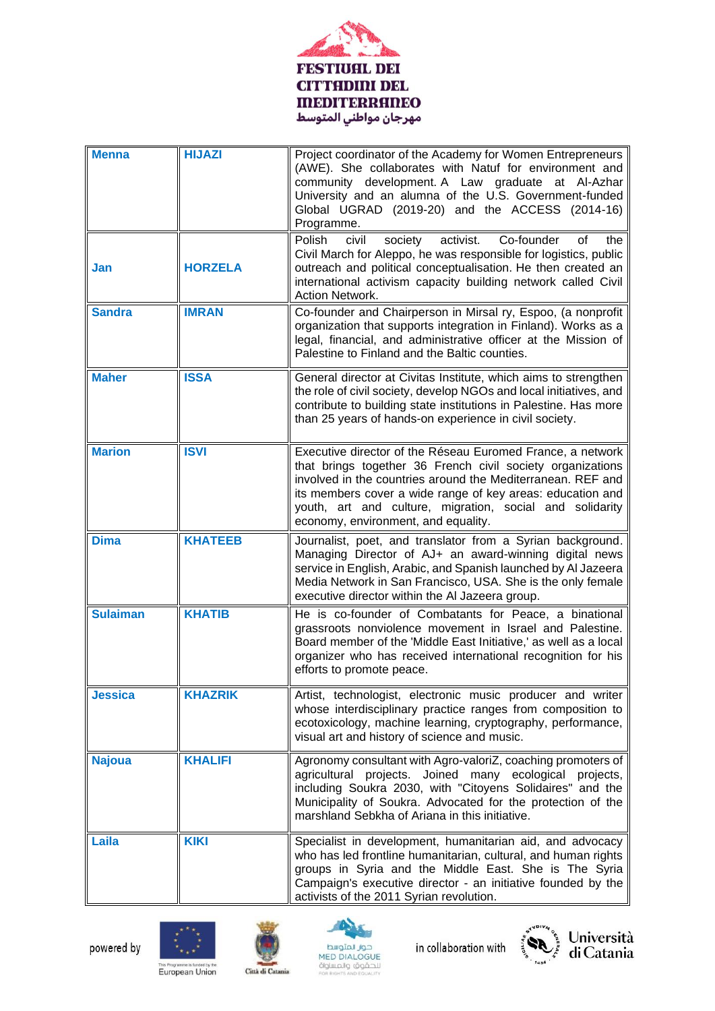

| <b>Menna</b>    | <b>HIJAZI</b>  | Project coordinator of the Academy for Women Entrepreneurs<br>(AWE). She collaborates with Natuf for environment and<br>community development. A Law graduate at Al-Azhar<br>University and an alumna of the U.S. Government-funded<br>Global UGRAD (2019-20) and the ACCESS (2014-16)<br>Programme.                                                     |
|-----------------|----------------|----------------------------------------------------------------------------------------------------------------------------------------------------------------------------------------------------------------------------------------------------------------------------------------------------------------------------------------------------------|
| Jan             | <b>HORZELA</b> | Polish<br>Co-founder<br>civil<br>society<br>activist.<br>οf<br>the<br>Civil March for Aleppo, he was responsible for logistics, public<br>outreach and political conceptualisation. He then created an<br>international activism capacity building network called Civil<br>Action Network.                                                               |
| <b>Sandra</b>   | <b>IMRAN</b>   | Co-founder and Chairperson in Mirsal ry, Espoo, (a nonprofit<br>organization that supports integration in Finland). Works as a<br>legal, financial, and administrative officer at the Mission of<br>Palestine to Finland and the Baltic counties.                                                                                                        |
| <b>Maher</b>    | <b>ISSA</b>    | General director at Civitas Institute, which aims to strengthen<br>the role of civil society, develop NGOs and local initiatives, and<br>contribute to building state institutions in Palestine. Has more<br>than 25 years of hands-on experience in civil society.                                                                                      |
| <b>Marion</b>   | <b>ISVI</b>    | Executive director of the Réseau Euromed France, a network<br>that brings together 36 French civil society organizations<br>involved in the countries around the Mediterranean. REF and<br>its members cover a wide range of key areas: education and<br>youth, art and culture, migration, social and solidarity<br>economy, environment, and equality. |
| <b>Dima</b>     | <b>KHATEEB</b> | Journalist, poet, and translator from a Syrian background.<br>Managing Director of AJ+ an award-winning digital news<br>service in English, Arabic, and Spanish launched by Al Jazeera<br>Media Network in San Francisco, USA. She is the only female<br>executive director within the AI Jazeera group.                                                 |
| <b>Sulaiman</b> | <b>KHATIB</b>  | He is co-founder of Combatants for Peace, a binational<br>grassroots nonviolence movement in Israel and Palestine.<br>Board member of the 'Middle East Initiative,' as well as a local<br>organizer who has received international recognition for his<br>efforts to promote peace.                                                                      |
| <b>Jessica</b>  | <b>KHAZRIK</b> | Artist, technologist, electronic music producer and writer<br>whose interdisciplinary practice ranges from composition to<br>ecotoxicology, machine learning, cryptography, performance,<br>visual art and history of science and music.                                                                                                                 |
| <b>Najoua</b>   | <b>KHALIFI</b> | Agronomy consultant with Agro-valoriZ, coaching promoters of<br>agricultural projects. Joined many ecological projects,<br>including Soukra 2030, with "Citoyens Solidaires" and the<br>Municipality of Soukra. Advocated for the protection of the<br>marshland Sebkha of Ariana in this initiative.                                                    |
| Laila           | <b>KIKI</b>    | Specialist in development, humanitarian aid, and advocacy<br>who has led frontline humanitarian, cultural, and human rights<br>groups in Syria and the Middle East. She is The Syria<br>Campaign's executive director - an initiative founded by the<br>activists of the 2011 Syrian revolution.                                                         |











This Programme is funded by the<br>European Union

Città di Catania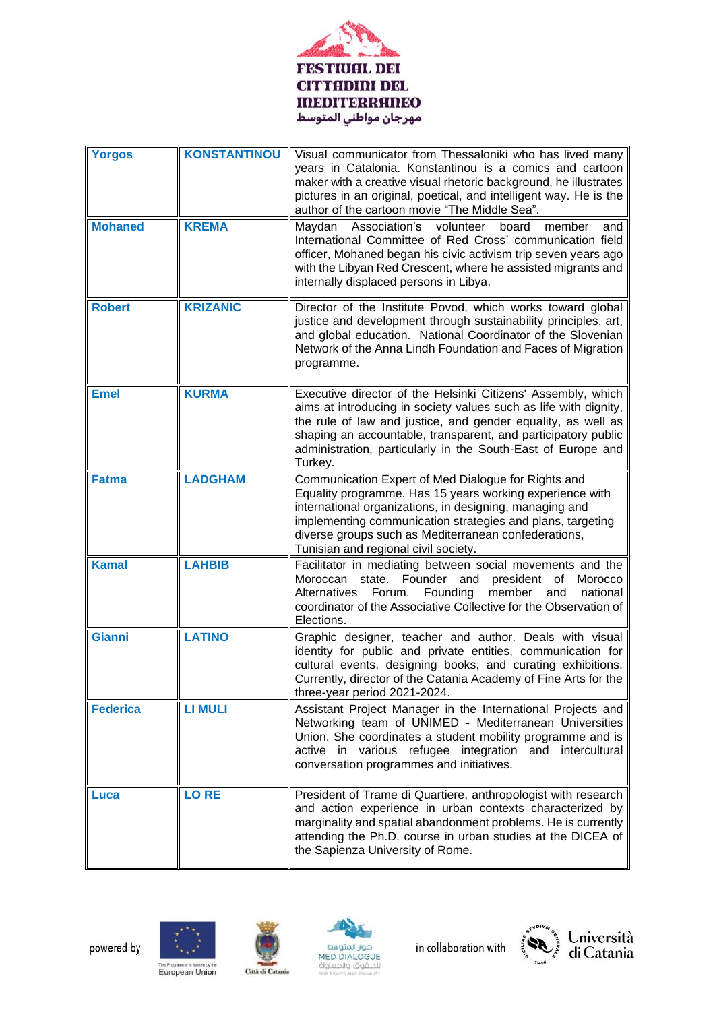

| <b>Yorgos</b>   | <b>KONSTANTINOU</b> | Visual communicator from Thessaloniki who has lived many<br>years in Catalonia. Konstantinou is a comics and cartoon<br>maker with a creative visual rhetoric background, he illustrates<br>pictures in an original, poetical, and intelligent way. He is the<br>author of the cartoon movie "The Middle Sea".                               |
|-----------------|---------------------|----------------------------------------------------------------------------------------------------------------------------------------------------------------------------------------------------------------------------------------------------------------------------------------------------------------------------------------------|
| <b>Mohaned</b>  | <b>KREMA</b>        | Maydan<br>Association's<br>volunteer<br>board<br>member<br>and<br>International Committee of Red Cross' communication field<br>officer, Mohaned began his civic activism trip seven years ago<br>with the Libyan Red Crescent, where he assisted migrants and<br>internally displaced persons in Libya.                                      |
| <b>Robert</b>   | <b>KRIZANIC</b>     | Director of the Institute Povod, which works toward global<br>justice and development through sustainability principles, art,<br>and global education. National Coordinator of the Slovenian<br>Network of the Anna Lindh Foundation and Faces of Migration<br>programme.                                                                    |
| <b>Emel</b>     | <b>KURMA</b>        | Executive director of the Helsinki Citizens' Assembly, which<br>aims at introducing in society values such as life with dignity,<br>the rule of law and justice, and gender equality, as well as<br>shaping an accountable, transparent, and participatory public<br>administration, particularly in the South-East of Europe and<br>Turkey. |
| <b>Fatma</b>    | <b>LADGHAM</b>      | Communication Expert of Med Dialogue for Rights and<br>Equality programme. Has 15 years working experience with<br>international organizations, in designing, managing and<br>implementing communication strategies and plans, targeting<br>diverse groups such as Mediterranean confederations,<br>Tunisian and regional civil society.     |
| <b>Kamal</b>    | <b>LAHBIB</b>       | Facilitator in mediating between social movements and the<br>Moroccan state. Founder and president<br>Morocco<br>of<br>Alternatives<br>Forum.<br>Founding<br>member<br>national<br>and<br>coordinator of the Associative Collective for the Observation of<br>Elections.                                                                     |
| <b>Gianni</b>   | <b>LATINO</b>       | Graphic designer, teacher and author. Deals with visual<br>identity for public and private entities, communication for<br>cultural events, designing books, and curating exhibitions.<br>Currently, director of the Catania Academy of Fine Arts for the<br>three-year period 2021-2024.                                                     |
| <b>Federica</b> | <b>LI MULI</b>      | Assistant Project Manager in the International Projects and<br>Networking team of UNIMED - Mediterranean Universities<br>Union. She coordinates a student mobility programme and is<br>active in various refugee integration and intercultural<br>conversation programmes and initiatives.                                                   |
| Luca            | <b>LORE</b>         | President of Trame di Quartiere, anthropologist with research<br>and action experience in urban contexts characterized by<br>marginality and spatial abandonment problems. He is currently<br>attending the Ph.D. course in urban studies at the DICEA of<br>the Sapienza University of Rome.                                                |











This Programme is funded by the<br>European Union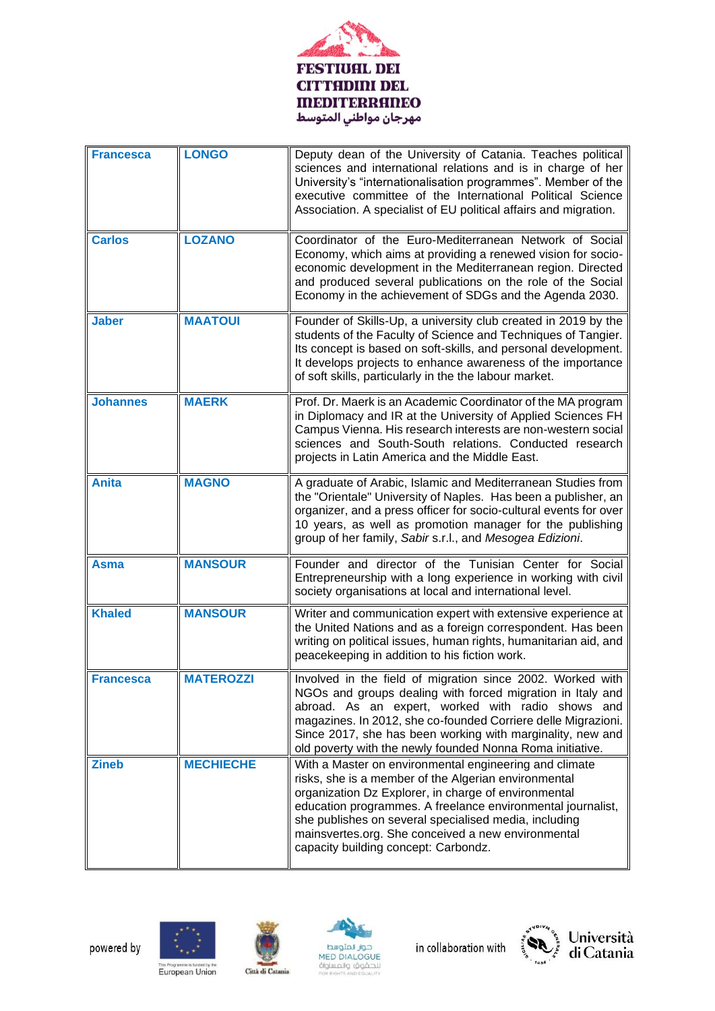

| <b>Francesca</b> | <b>LONGO</b>     | Deputy dean of the University of Catania. Teaches political<br>sciences and international relations and is in charge of her<br>University's "internationalisation programmes". Member of the<br>executive committee of the International Political Science<br>Association. A specialist of EU political affairs and migration.                                                               |
|------------------|------------------|----------------------------------------------------------------------------------------------------------------------------------------------------------------------------------------------------------------------------------------------------------------------------------------------------------------------------------------------------------------------------------------------|
| <b>Carlos</b>    | <b>LOZANO</b>    | Coordinator of the Euro-Mediterranean Network of Social<br>Economy, which aims at providing a renewed vision for socio-<br>economic development in the Mediterranean region. Directed<br>and produced several publications on the role of the Social<br>Economy in the achievement of SDGs and the Agenda 2030.                                                                              |
| <b>Jaber</b>     | <b>MAATOUI</b>   | Founder of Skills-Up, a university club created in 2019 by the<br>students of the Faculty of Science and Techniques of Tangier.<br>Its concept is based on soft-skills, and personal development.<br>It develops projects to enhance awareness of the importance<br>of soft skills, particularly in the the labour market.                                                                   |
| <b>Johannes</b>  | <b>MAERK</b>     | Prof. Dr. Maerk is an Academic Coordinator of the MA program<br>in Diplomacy and IR at the University of Applied Sciences FH<br>Campus Vienna. His research interests are non-western social<br>sciences and South-South relations. Conducted research<br>projects in Latin America and the Middle East.                                                                                     |
| <b>Anita</b>     | <b>MAGNO</b>     | A graduate of Arabic, Islamic and Mediterranean Studies from<br>the "Orientale" University of Naples. Has been a publisher, an<br>organizer, and a press officer for socio-cultural events for over<br>10 years, as well as promotion manager for the publishing<br>group of her family, Sabir s.r.l., and Mesogea Edizioni.                                                                 |
| Asma             | <b>MANSOUR</b>   | Founder and director of the Tunisian Center for Social<br>Entrepreneurship with a long experience in working with civil<br>society organisations at local and international level.                                                                                                                                                                                                           |
| <b>Khaled</b>    | <b>MANSOUR</b>   | Writer and communication expert with extensive experience at<br>the United Nations and as a foreign correspondent. Has been<br>writing on political issues, human rights, humanitarian aid, and<br>peacekeeping in addition to his fiction work.                                                                                                                                             |
| <b>Francesca</b> | <b>MATEROZZI</b> | Involved in the field of migration since 2002. Worked with<br>NGOs and groups dealing with forced migration in Italy and<br>abroad. As an expert, worked with radio shows and<br>magazines. In 2012, she co-founded Corriere delle Migrazioni.<br>Since 2017, she has been working with marginality, new and<br>old poverty with the newly founded Nonna Roma initiative.                    |
| <b>Zineb</b>     | <b>MECHIECHE</b> | With a Master on environmental engineering and climate<br>risks, she is a member of the Algerian environmental<br>organization Dz Explorer, in charge of environmental<br>education programmes. A freelance environmental journalist,<br>she publishes on several specialised media, including<br>mainsvertes.org. She conceived a new environmental<br>capacity building concept: Carbondz. |











This Programme is funded by the<br>European Union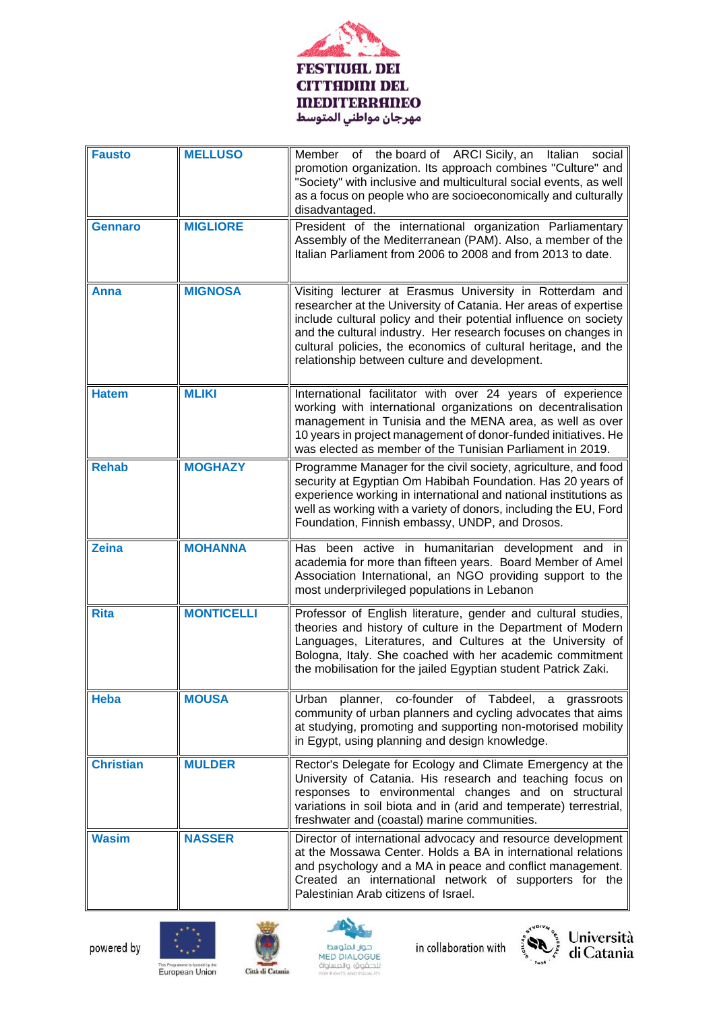

| <b>Fausto</b>    | <b>MELLUSO</b>    | Member of the board of ARCI Sicily, an Italian<br>social<br>promotion organization. Its approach combines "Culture" and<br>"Society" with inclusive and multicultural social events, as well<br>as a focus on people who are socioeconomically and culturally<br>disadvantaged.                                                                                                     |
|------------------|-------------------|-------------------------------------------------------------------------------------------------------------------------------------------------------------------------------------------------------------------------------------------------------------------------------------------------------------------------------------------------------------------------------------|
| <b>Gennaro</b>   | <b>MIGLIORE</b>   | President of the international organization Parliamentary<br>Assembly of the Mediterranean (PAM). Also, a member of the<br>Italian Parliament from 2006 to 2008 and from 2013 to date.                                                                                                                                                                                              |
| Anna             | <b>MIGNOSA</b>    | Visiting lecturer at Erasmus University in Rotterdam and<br>researcher at the University of Catania. Her areas of expertise<br>include cultural policy and their potential influence on society<br>and the cultural industry. Her research focuses on changes in<br>cultural policies, the economics of cultural heritage, and the<br>relationship between culture and development. |
| <b>Hatem</b>     | <b>MLIKI</b>      | International facilitator with over 24 years of experience<br>working with international organizations on decentralisation<br>management in Tunisia and the MENA area, as well as over<br>10 years in project management of donor-funded initiatives. He<br>was elected as member of the Tunisian Parliament in 2019.                                                               |
| <b>Rehab</b>     | <b>MOGHAZY</b>    | Programme Manager for the civil society, agriculture, and food<br>security at Egyptian Om Habibah Foundation. Has 20 years of<br>experience working in international and national institutions as<br>well as working with a variety of donors, including the EU, Ford<br>Foundation, Finnish embassy, UNDP, and Drosos.                                                             |
| <b>Zeina</b>     | <b>MOHANNA</b>    | Has been active in humanitarian development and in<br>academia for more than fifteen years. Board Member of Amel<br>Association International, an NGO providing support to the<br>most underprivileged populations in Lebanon                                                                                                                                                       |
| <b>Rita</b>      | <b>MONTICELLI</b> | Professor of English literature, gender and cultural studies,<br>theories and history of culture in the Department of Modern<br>Languages, Literatures, and Cultures at the University of<br>Bologna, Italy. She coached with her academic commitment<br>the mobilisation for the jailed Egyptian student Patrick Zaki.                                                             |
| <b>Heba</b>      | <b>MOUSA</b>      | planner, co-founder of Tabdeel,<br>Urban<br>a<br>grassroots<br>community of urban planners and cycling advocates that aims<br>at studying, promoting and supporting non-motorised mobility<br>in Egypt, using planning and design knowledge.                                                                                                                                        |
| <b>Christian</b> | <b>MULDER</b>     | Rector's Delegate for Ecology and Climate Emergency at the<br>University of Catania. His research and teaching focus on<br>responses to environmental changes and on structural<br>variations in soil biota and in (arid and temperate) terrestrial,<br>freshwater and (coastal) marine communities.                                                                                |
| <b>Wasim</b>     | <b>NASSER</b>     | Director of international advocacy and resource development<br>at the Mossawa Center. Holds a BA in international relations<br>and psychology and a MA in peace and conflict management.<br>Created an international network of supporters for the<br>Palestinian Arab citizens of Israel.                                                                                          |









Università<br>di Catania

This Programme is funded by the<br>European Union

Città di Catania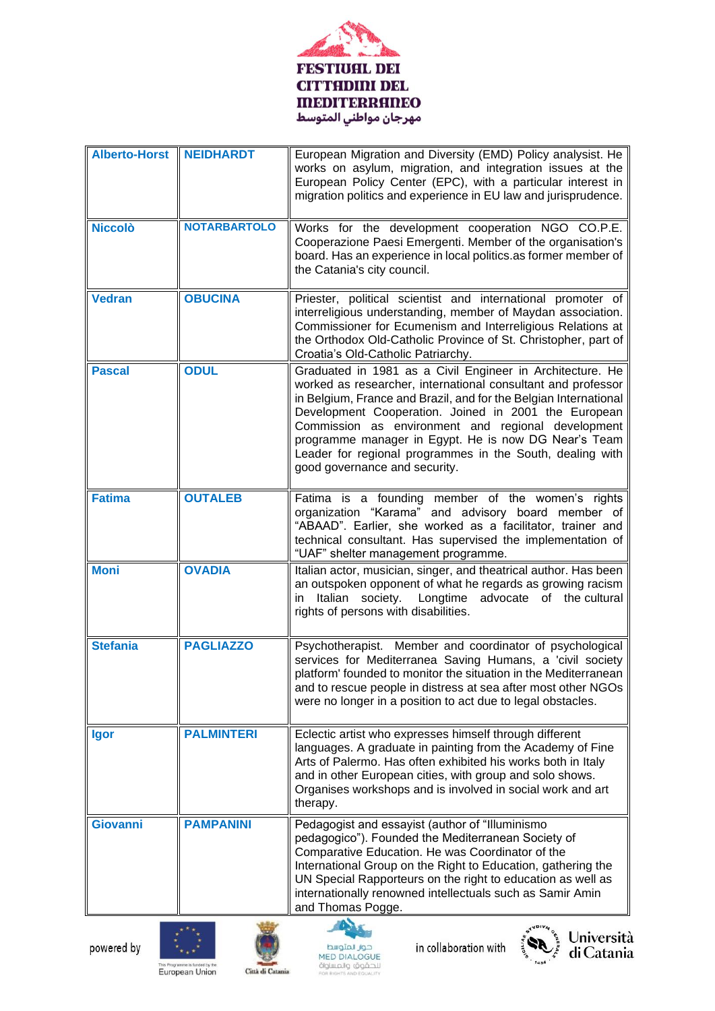

| Alberto-Horst NEIDHARDT |                     | European Migration and Diversity (EMD) Policy analysist. He<br>works on asylum, migration, and integration issues at the<br>European Policy Center (EPC), with a particular interest in<br>migration politics and experience in EU law and jurisprudence.                                                                                                                                                                                                         |
|-------------------------|---------------------|-------------------------------------------------------------------------------------------------------------------------------------------------------------------------------------------------------------------------------------------------------------------------------------------------------------------------------------------------------------------------------------------------------------------------------------------------------------------|
| <b>Niccolò</b>          | <b>NOTARBARTOLO</b> | Works for the development cooperation NGO CO.P.E.<br>Cooperazione Paesi Emergenti. Member of the organisation's<br>board. Has an experience in local politics.as former member of<br>the Catania's city council.                                                                                                                                                                                                                                                  |
| <b>Vedran</b>           | <b>OBUCINA</b>      | Priester, political scientist and international promoter of<br>interreligious understanding, member of Maydan association.<br>Commissioner for Ecumenism and Interreligious Relations at<br>the Orthodox Old-Catholic Province of St. Christopher, part of<br>Croatia's Old-Catholic Patriarchy.                                                                                                                                                                  |
| <b>Pascal</b>           | <b>ODUL</b>         | Graduated in 1981 as a Civil Engineer in Architecture. He<br>worked as researcher, international consultant and professor<br>in Belgium, France and Brazil, and for the Belgian International<br>Development Cooperation. Joined in 2001 the European<br>Commission as environment and regional development<br>programme manager in Egypt. He is now DG Near's Team<br>Leader for regional programmes in the South, dealing with<br>good governance and security. |
| <b>Fatima</b>           | <b>OUTALEB</b>      | Fatima is a founding member of the women's rights<br>organization "Karama" and advisory board member of<br>"ABAAD". Earlier, she worked as a facilitator, trainer and<br>technical consultant. Has supervised the implementation of<br>"UAF" shelter management programme.                                                                                                                                                                                        |
| <b>Moni</b>             | <b>OVADIA</b>       | Italian actor, musician, singer, and theatrical author. Has been<br>an outspoken opponent of what he regards as growing racism<br>Italian society.<br>Longtime advocate of the cultural<br>in<br>rights of persons with disabilities.                                                                                                                                                                                                                             |
| <b>Stefania</b>         | <b>PAGLIAZZO</b>    | Psychotherapist. Member and coordinator of psychological<br>services for Mediterranea Saving Humans, a 'civil society<br>platform' founded to monitor the situation in the Mediterranean<br>and to rescue people in distress at sea after most other NGOs<br>were no longer in a position to act due to legal obstacles.                                                                                                                                          |
| Igor                    | <b>PALMINTERI</b>   | Eclectic artist who expresses himself through different<br>languages. A graduate in painting from the Academy of Fine<br>Arts of Palermo. Has often exhibited his works both in Italy<br>and in other European cities, with group and solo shows.<br>Organises workshops and is involved in social work and art<br>therapy.                                                                                                                                       |
| <b>Giovanni</b>         | <b>PAMPANINI</b>    | Pedagogist and essayist (author of "Illuminismo<br>pedagogico"). Founded the Mediterranean Society of<br>Comparative Education. He was Coordinator of the<br>International Group on the Right to Education, gathering the<br>UN Special Rapporteurs on the right to education as well as<br>internationally renowned intellectuals such as Samir Amin<br>and Thomas Pogge.                                                                                        |











This Programme is funded by the<br>European Union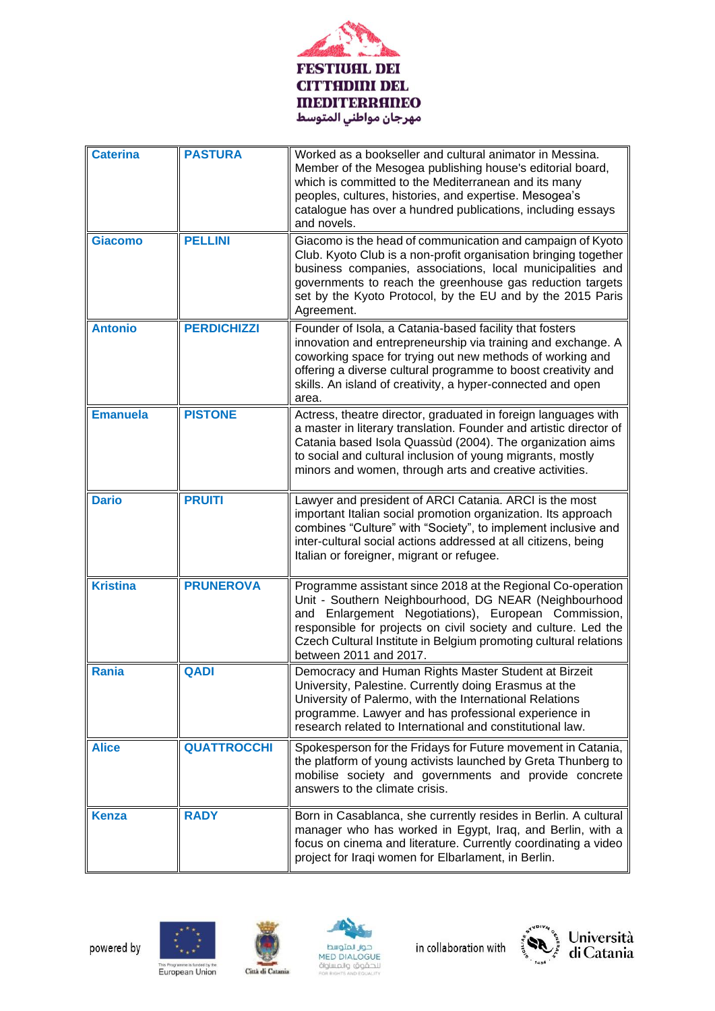

| <b>Caterina</b> | <b>PASTURA</b>     | Worked as a bookseller and cultural animator in Messina.<br>Member of the Mesogea publishing house's editorial board,<br>which is committed to the Mediterranean and its many<br>peoples, cultures, histories, and expertise. Mesogea's<br>catalogue has over a hundred publications, including essays<br>and novels.                       |
|-----------------|--------------------|---------------------------------------------------------------------------------------------------------------------------------------------------------------------------------------------------------------------------------------------------------------------------------------------------------------------------------------------|
| <b>Giacomo</b>  | <b>PELLINI</b>     | Giacomo is the head of communication and campaign of Kyoto<br>Club. Kyoto Club is a non-profit organisation bringing together<br>business companies, associations, local municipalities and<br>governments to reach the greenhouse gas reduction targets<br>set by the Kyoto Protocol, by the EU and by the 2015 Paris<br>Agreement.        |
| <b>Antonio</b>  | <b>PERDICHIZZI</b> | Founder of Isola, a Catania-based facility that fosters<br>innovation and entrepreneurship via training and exchange. A<br>coworking space for trying out new methods of working and<br>offering a diverse cultural programme to boost creativity and<br>skills. An island of creativity, a hyper-connected and open<br>area.               |
| <b>Emanuela</b> | <b>PISTONE</b>     | Actress, theatre director, graduated in foreign languages with<br>a master in literary translation. Founder and artistic director of<br>Catania based Isola Quassùd (2004). The organization aims<br>to social and cultural inclusion of young migrants, mostly<br>minors and women, through arts and creative activities.                  |
| <b>Dario</b>    | <b>PRUITI</b>      | Lawyer and president of ARCI Catania. ARCI is the most<br>important Italian social promotion organization. Its approach<br>combines "Culture" with "Society", to implement inclusive and<br>inter-cultural social actions addressed at all citizens, being<br>Italian or foreigner, migrant or refugee.                                     |
| <b>Kristina</b> | <b>PRUNEROVA</b>   | Programme assistant since 2018 at the Regional Co-operation<br>Unit - Southern Neighbourhood, DG NEAR (Neighbourhood<br>and Enlargement Negotiations), European Commission,<br>responsible for projects on civil society and culture. Led the<br>Czech Cultural Institute in Belgium promoting cultural relations<br>between 2011 and 2017. |
| Rania           | <b>QADI</b>        | Democracy and Human Rights Master Student at Birzeit<br>University, Palestine. Currently doing Erasmus at the<br>University of Palermo, with the International Relations<br>programme. Lawyer and has professional experience in<br>research related to International and constitutional law.                                               |
| <b>Alice</b>    | <b>QUATTROCCHI</b> | Spokesperson for the Fridays for Future movement in Catania,<br>the platform of young activists launched by Greta Thunberg to<br>mobilise society and governments and provide concrete<br>answers to the climate crisis.                                                                                                                    |
| <b>Kenza</b>    | <b>RADY</b>        | Born in Casablanca, she currently resides in Berlin. A cultural<br>manager who has worked in Egypt, Iraq, and Berlin, with a<br>focus on cinema and literature. Currently coordinating a video<br>project for Iraqi women for Elbarlament, in Berlin.                                                                                       |











This Programme is funded by the<br>European Union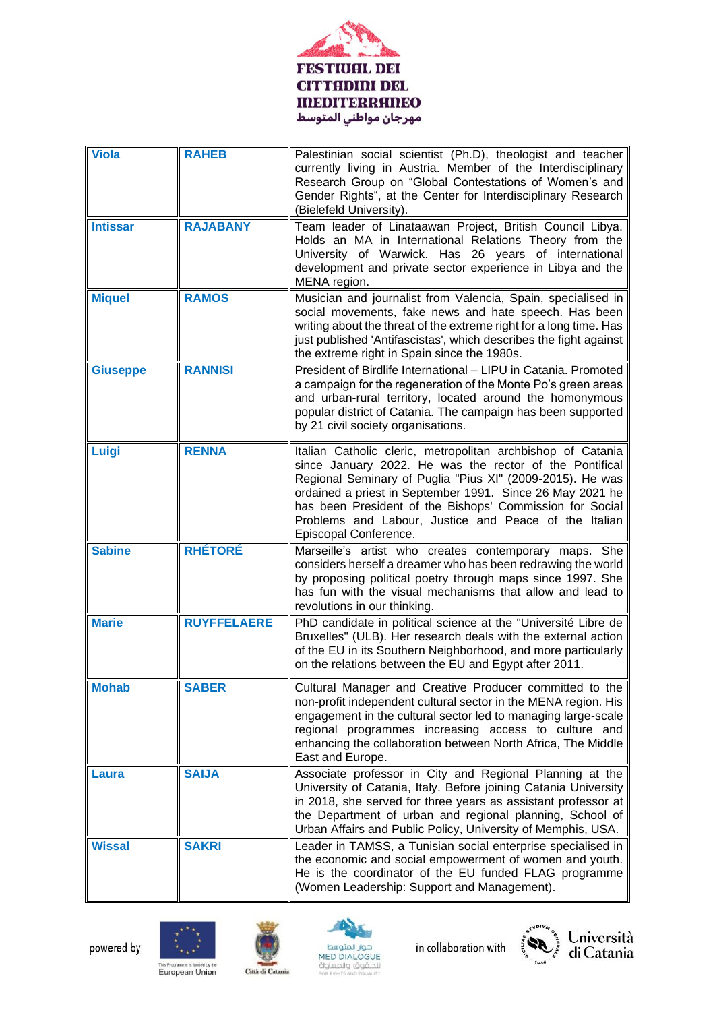

| <b>Viola</b>    | <b>RAHEB</b>       | Palestinian social scientist (Ph.D), theologist and teacher<br>currently living in Austria. Member of the Interdisciplinary<br>Research Group on "Global Contestations of Women's and<br>Gender Rights", at the Center for Interdisciplinary Research<br>(Bielefeld University).                                                                                                               |
|-----------------|--------------------|------------------------------------------------------------------------------------------------------------------------------------------------------------------------------------------------------------------------------------------------------------------------------------------------------------------------------------------------------------------------------------------------|
| <b>Intissar</b> | <b>RAJABANY</b>    | Team leader of Linataawan Project, British Council Libya.<br>Holds an MA in International Relations Theory from the<br>University of Warwick. Has 26 years of international<br>development and private sector experience in Libya and the<br>MENA region.                                                                                                                                      |
| <b>Miquel</b>   | <b>RAMOS</b>       | Musician and journalist from Valencia, Spain, specialised in<br>social movements, fake news and hate speech. Has been<br>writing about the threat of the extreme right for a long time. Has<br>just published 'Antifascistas', which describes the fight against<br>the extreme right in Spain since the 1980s.                                                                                |
| <b>Giuseppe</b> | <b>RANNISI</b>     | President of Birdlife International - LIPU in Catania. Promoted<br>a campaign for the regeneration of the Monte Po's green areas<br>and urban-rural territory, located around the homonymous<br>popular district of Catania. The campaign has been supported<br>by 21 civil society organisations.                                                                                             |
| Luigi           | <b>RENNA</b>       | Italian Catholic cleric, metropolitan archbishop of Catania<br>since January 2022. He was the rector of the Pontifical<br>Regional Seminary of Puglia "Pius XI" (2009-2015). He was<br>ordained a priest in September 1991. Since 26 May 2021 he<br>has been President of the Bishops' Commission for Social<br>Problems and Labour, Justice and Peace of the Italian<br>Episcopal Conference. |
| <b>Sabine</b>   | <b>RHÉTORÉ</b>     | Marseille's artist who creates contemporary maps. She<br>considers herself a dreamer who has been redrawing the world<br>by proposing political poetry through maps since 1997. She<br>has fun with the visual mechanisms that allow and lead to<br>revolutions in our thinking.                                                                                                               |
| <b>Marie</b>    | <b>RUYFFELAERE</b> | PhD candidate in political science at the "Université Libre de<br>Bruxelles" (ULB). Her research deals with the external action<br>of the EU in its Southern Neighborhood, and more particularly<br>on the relations between the EU and Egypt after 2011.                                                                                                                                      |
| <b>Mohab</b>    | <b>SABER</b>       | Cultural Manager and Creative Producer committed to the<br>non-profit independent cultural sector in the MENA region. His<br>engagement in the cultural sector led to managing large-scale<br>regional programmes increasing access to culture and<br>enhancing the collaboration between North Africa, The Middle<br>East and Europe.                                                         |
| Laura           | <b>SAIJA</b>       | Associate professor in City and Regional Planning at the<br>University of Catania, Italy. Before joining Catania University<br>in 2018, she served for three years as assistant professor at<br>the Department of urban and regional planning, School of<br>Urban Affairs and Public Policy, University of Memphis, USA.                                                                       |
| <b>Wissal</b>   | <b>SAKRI</b>       | Leader in TAMSS, a Tunisian social enterprise specialised in<br>the economic and social empowerment of women and youth.<br>He is the coordinator of the EU funded FLAG programme<br>(Women Leadership: Support and Management).                                                                                                                                                                |











This Programme is funded by the<br>European Union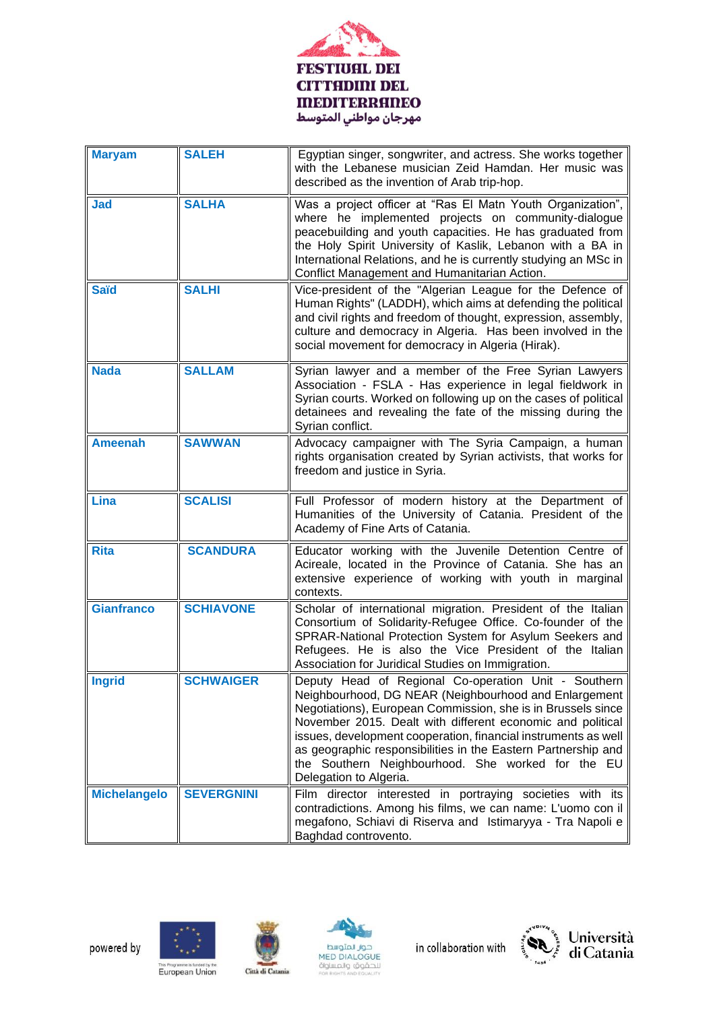

| <b>Maryam</b>       | <b>SALEH</b>      | Egyptian singer, songwriter, and actress. She works together<br>with the Lebanese musician Zeid Hamdan. Her music was<br>described as the invention of Arab trip-hop.                                                                                                                                                                                                                                                                                         |
|---------------------|-------------------|---------------------------------------------------------------------------------------------------------------------------------------------------------------------------------------------------------------------------------------------------------------------------------------------------------------------------------------------------------------------------------------------------------------------------------------------------------------|
| <b>Jad</b>          | <b>SALHA</b>      | Was a project officer at "Ras El Matn Youth Organization",<br>where he implemented projects on community-dialogue<br>peacebuilding and youth capacities. He has graduated from<br>the Holy Spirit University of Kaslik, Lebanon with a BA in<br>International Relations, and he is currently studying an MSc in<br>Conflict Management and Humanitarian Action.                                                                                               |
| <b>Saïd</b>         | <b>SALHI</b>      | Vice-president of the "Algerian League for the Defence of<br>Human Rights" (LADDH), which aims at defending the political<br>and civil rights and freedom of thought, expression, assembly,<br>culture and democracy in Algeria. Has been involved in the<br>social movement for democracy in Algeria (Hirak).                                                                                                                                                |
| <b>Nada</b>         | <b>SALLAM</b>     | Syrian lawyer and a member of the Free Syrian Lawyers<br>Association - FSLA - Has experience in legal fieldwork in<br>Syrian courts. Worked on following up on the cases of political<br>detainees and revealing the fate of the missing during the<br>Syrian conflict.                                                                                                                                                                                       |
| <b>Ameenah</b>      | <b>SAWWAN</b>     | Advocacy campaigner with The Syria Campaign, a human<br>rights organisation created by Syrian activists, that works for<br>freedom and justice in Syria.                                                                                                                                                                                                                                                                                                      |
| Lina                | <b>SCALISI</b>    | Full Professor of modern history at the Department of<br>Humanities of the University of Catania. President of the<br>Academy of Fine Arts of Catania.                                                                                                                                                                                                                                                                                                        |
| <b>Rita</b>         | <b>SCANDURA</b>   | Educator working with the Juvenile Detention Centre of<br>Acireale, located in the Province of Catania. She has an<br>extensive experience of working with youth in marginal<br>contexts.                                                                                                                                                                                                                                                                     |
| <b>Gianfranco</b>   | <b>SCHIAVONE</b>  | Scholar of international migration. President of the Italian<br>Consortium of Solidarity-Refugee Office. Co-founder of the<br>SPRAR-National Protection System for Asylum Seekers and<br>Refugees. He is also the Vice President of the Italian<br>Association for Juridical Studies on Immigration.                                                                                                                                                          |
| <b>Ingrid</b>       | <b>SCHWAIGER</b>  | Deputy Head of Regional Co-operation Unit - Southern<br>Neighbourhood, DG NEAR (Neighbourhood and Enlargement<br>Negotiations), European Commission, she is in Brussels since<br>November 2015. Dealt with different economic and political<br>issues, development cooperation, financial instruments as well<br>as geographic responsibilities in the Eastern Partnership and<br>the Southern Neighbourhood. She worked for the EU<br>Delegation to Algeria. |
| <b>Michelangelo</b> | <b>SEVERGNINI</b> | Film director interested in portraying societies with its<br>contradictions. Among his films, we can name: L'uomo con il<br>megafono, Schiavi di Riserva and Istimaryya - Tra Napoli e<br>Baghdad controvento.                                                                                                                                                                                                                                                |











This Programme is funded by the<br>European Union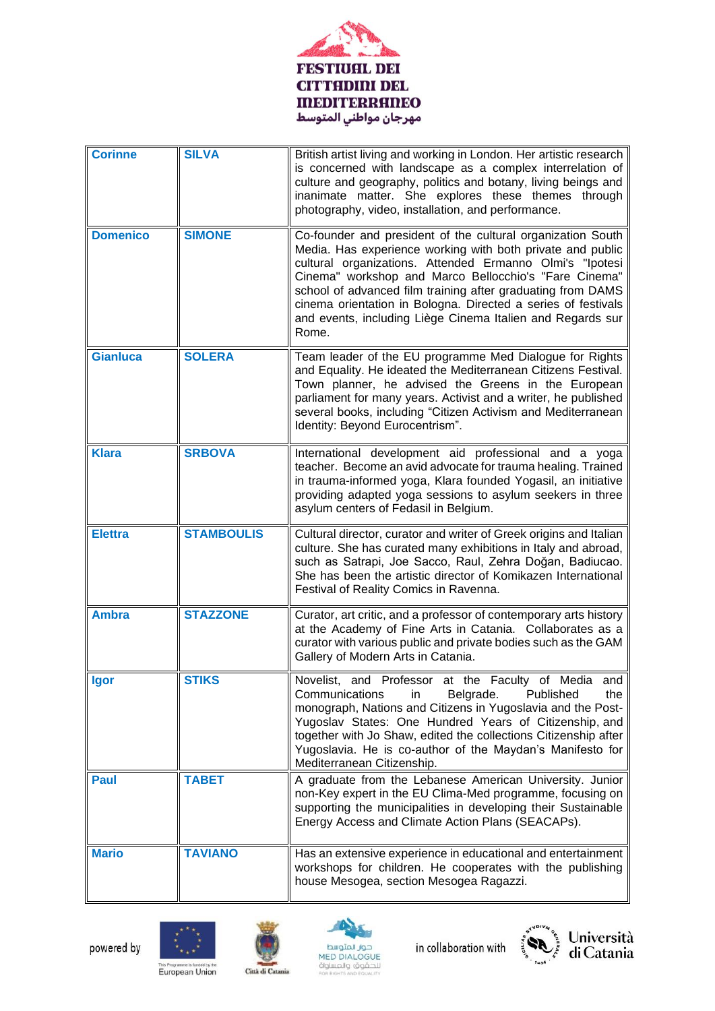

| <b>Corinne</b>  | <b>SILVA</b>      | British artist living and working in London. Her artistic research<br>is concerned with landscape as a complex interrelation of<br>culture and geography, politics and botany, living beings and<br>inanimate matter. She explores these themes through<br>photography, video, installation, and performance.                                                                                                                                         |
|-----------------|-------------------|-------------------------------------------------------------------------------------------------------------------------------------------------------------------------------------------------------------------------------------------------------------------------------------------------------------------------------------------------------------------------------------------------------------------------------------------------------|
| <b>Domenico</b> | <b>SIMONE</b>     | Co-founder and president of the cultural organization South<br>Media. Has experience working with both private and public<br>cultural organizations. Attended Ermanno Olmi's "Ipotesi<br>Cinema" workshop and Marco Bellocchio's "Fare Cinema"<br>school of advanced film training after graduating from DAMS<br>cinema orientation in Bologna. Directed a series of festivals<br>and events, including Liège Cinema Italien and Regards sur<br>Rome. |
| <b>Gianluca</b> | <b>SOLERA</b>     | Team leader of the EU programme Med Dialogue for Rights<br>and Equality. He ideated the Mediterranean Citizens Festival.<br>Town planner, he advised the Greens in the European<br>parliament for many years. Activist and a writer, he published<br>several books, including "Citizen Activism and Mediterranean<br>Identity: Beyond Eurocentrism".                                                                                                  |
| <b>Klara</b>    | <b>SRBOVA</b>     | International development aid professional and a yoga<br>teacher. Become an avid advocate for trauma healing. Trained<br>in trauma-informed yoga, Klara founded Yogasil, an initiative<br>providing adapted yoga sessions to asylum seekers in three<br>asylum centers of Fedasil in Belgium.                                                                                                                                                         |
| <b>Elettra</b>  | <b>STAMBOULIS</b> | Cultural director, curator and writer of Greek origins and Italian<br>culture. She has curated many exhibitions in Italy and abroad,<br>such as Satrapi, Joe Sacco, Raul, Zehra Doğan, Badiucao.<br>She has been the artistic director of Komikazen International<br>Festival of Reality Comics in Ravenna.                                                                                                                                           |
| <b>Ambra</b>    | <b>STAZZONE</b>   | Curator, art critic, and a professor of contemporary arts history<br>at the Academy of Fine Arts in Catania. Collaborates as a<br>curator with various public and private bodies such as the GAM<br>Gallery of Modern Arts in Catania.                                                                                                                                                                                                                |
| <b>laor</b>     | <b>STIKS</b>      | Novelist, and Professor at the Faculty of Media and<br>Belgrade.<br>Communications<br>Published<br>the<br>in<br>monograph, Nations and Citizens in Yugoslavia and the Post-<br>Yugoslav States: One Hundred Years of Citizenship, and<br>together with Jo Shaw, edited the collections Citizenship after<br>Yugoslavia. He is co-author of the Maydan's Manifesto for<br>Mediterranean Citizenship.                                                   |
| <b>Paul</b>     | <b>TABET</b>      | A graduate from the Lebanese American University. Junior<br>non-Key expert in the EU Clima-Med programme, focusing on<br>supporting the municipalities in developing their Sustainable<br>Energy Access and Climate Action Plans (SEACAPs).                                                                                                                                                                                                           |
| <b>Mario</b>    | <b>TAVIANO</b>    | Has an extensive experience in educational and entertainment<br>workshops for children. He cooperates with the publishing<br>house Mesogea, section Mesogea Ragazzi.                                                                                                                                                                                                                                                                                  |











This Programme is funded by the<br>European Union

Città di Catania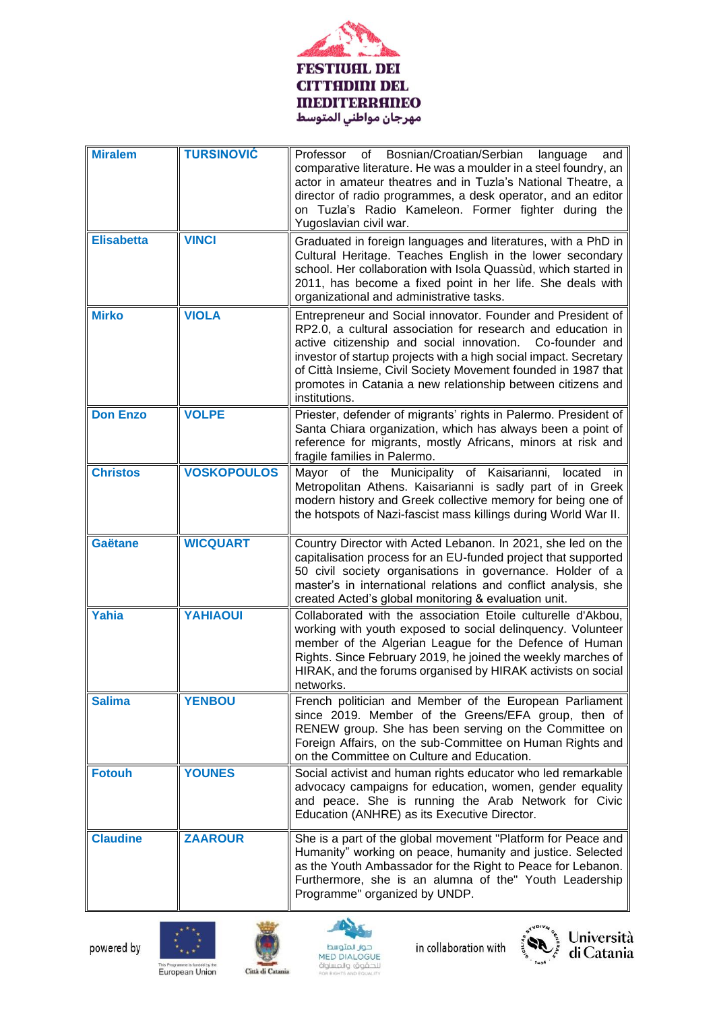

| <b>Miralem</b>    | <b>TURSINOVIĆ</b>  | Bosnian/Croatian/Serbian<br>Professor of<br>language<br>and<br>comparative literature. He was a moulder in a steel foundry, an<br>actor in amateur theatres and in Tuzla's National Theatre, a<br>director of radio programmes, a desk operator, and an editor<br>on Tuzla's Radio Kameleon. Former fighter during the<br>Yugoslavian civil war.                                                                |
|-------------------|--------------------|-----------------------------------------------------------------------------------------------------------------------------------------------------------------------------------------------------------------------------------------------------------------------------------------------------------------------------------------------------------------------------------------------------------------|
| <b>Elisabetta</b> | <b>VINCI</b>       | Graduated in foreign languages and literatures, with a PhD in<br>Cultural Heritage. Teaches English in the lower secondary<br>school. Her collaboration with Isola Quassùd, which started in<br>2011, has become a fixed point in her life. She deals with<br>organizational and administrative tasks.                                                                                                          |
| <b>Mirko</b>      | <b>VIOLA</b>       | Entrepreneur and Social innovator. Founder and President of<br>RP2.0, a cultural association for research and education in<br>active citizenship and social innovation.<br>Co-founder and<br>investor of startup projects with a high social impact. Secretary<br>of Città Insieme, Civil Society Movement founded in 1987 that<br>promotes in Catania a new relationship between citizens and<br>institutions. |
| <b>Don Enzo</b>   | <b>VOLPE</b>       | Priester, defender of migrants' rights in Palermo. President of<br>Santa Chiara organization, which has always been a point of<br>reference for migrants, mostly Africans, minors at risk and<br>fragile families in Palermo.                                                                                                                                                                                   |
| <b>Christos</b>   | <b>VOSKOPOULOS</b> | Mayor of the Municipality of Kaisarianni,<br>located<br>- in<br>Metropolitan Athens. Kaisarianni is sadly part of in Greek<br>modern history and Greek collective memory for being one of<br>the hotspots of Nazi-fascist mass killings during World War II.                                                                                                                                                    |
| <b>Gaëtane</b>    | <b>WICQUART</b>    | Country Director with Acted Lebanon. In 2021, she led on the<br>capitalisation process for an EU-funded project that supported<br>50 civil society organisations in governance. Holder of a<br>master's in international relations and conflict analysis, she<br>created Acted's global monitoring & evaluation unit.                                                                                           |
| Yahia             | <b>YAHIAOUI</b>    | Collaborated with the association Etoile culturelle d'Akbou,<br>working with youth exposed to social delinquency. Volunteer<br>member of the Algerian League for the Defence of Human<br>Rights. Since February 2019, he joined the weekly marches of<br>HIRAK, and the forums organised by HIRAK activists on social<br>networks.                                                                              |
| <b>Salima</b>     | <b>YENBOU</b>      | French politician and Member of the European Parliament<br>since 2019. Member of the Greens/EFA group, then of<br>RENEW group. She has been serving on the Committee on<br>Foreign Affairs, on the sub-Committee on Human Rights and<br>on the Committee on Culture and Education.                                                                                                                              |
| <b>Fotouh</b>     | <b>YOUNES</b>      | Social activist and human rights educator who led remarkable<br>advocacy campaigns for education, women, gender equality<br>and peace. She is running the Arab Network for Civic<br>Education (ANHRE) as its Executive Director.                                                                                                                                                                                |
| <b>Claudine</b>   | <b>ZAAROUR</b>     | She is a part of the global movement "Platform for Peace and<br>Humanity" working on peace, humanity and justice. Selected<br>as the Youth Ambassador for the Right to Peace for Lebanon.<br>Furthermore, she is an alumna of the" Youth Leadership<br>Programme" organized by UNDP.                                                                                                                            |











This Programme is funded by the<br>European Union

Città di Catania